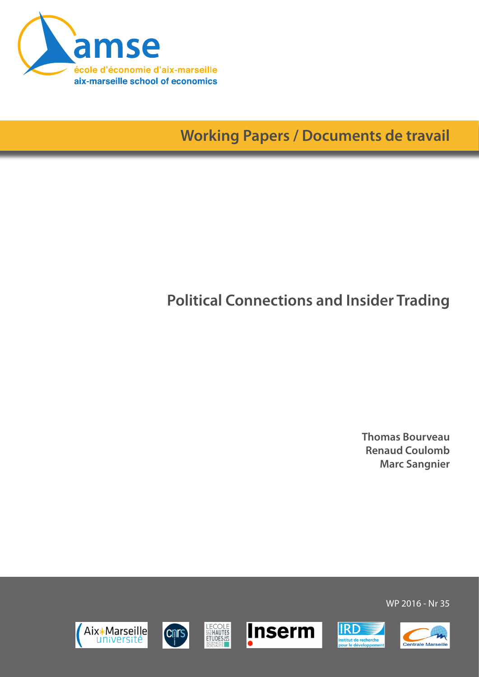

**Working Papers / Documents de travail**

# **Political Connections and Insider Trading**

**Thomas Bourveau Renaud Coulomb Marc Sangnier**

WP 2016 - Nr 35











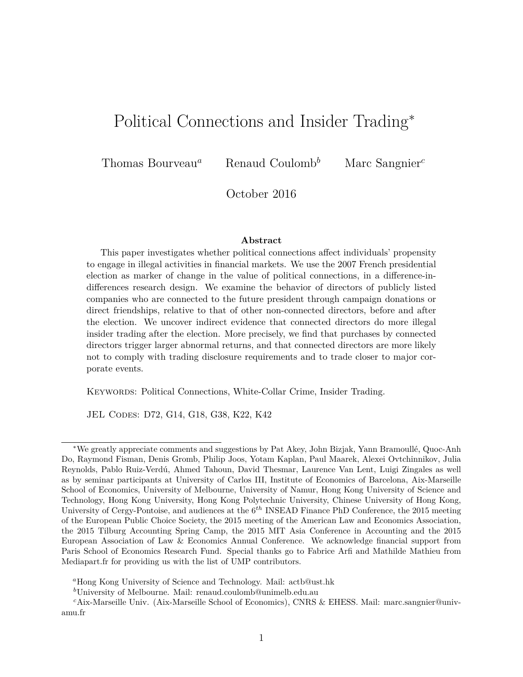## Political Connections and Insider Trading<sup>∗</sup>

Thomas Bourveau*<sup>a</sup>* Renaud Coulomb*<sup>b</sup>* Marc Sangnier*<sup>c</sup>*

October 2016

#### **Abstract**

This paper investigates whether political connections affect individuals' propensity to engage in illegal activities in financial markets. We use the 2007 French presidential election as marker of change in the value of political connections, in a difference-indifferences research design. We examine the behavior of directors of publicly listed companies who are connected to the future president through campaign donations or direct friendships, relative to that of other non-connected directors, before and after the election. We uncover indirect evidence that connected directors do more illegal insider trading after the election. More precisely, we find that purchases by connected directors trigger larger abnormal returns, and that connected directors are more likely not to comply with trading disclosure requirements and to trade closer to major corporate events.

Keywords: Political Connections, White-Collar Crime, Insider Trading.

JEL Codes: D72, G14, G18, G38, K22, K42

*<sup>b</sup>*University of Melbourne. Mail: renaud.coulomb@unimelb.edu.au

<sup>∗</sup>We greatly appreciate comments and suggestions by Pat Akey, John Bizjak, Yann Bramoull´e, Quoc-Anh Do, Raymond Fisman, Denis Gromb, Philip Joos, Yotam Kaplan, Paul Maarek, Alexei Ovtchinnikov, Julia Reynolds, Pablo Ruiz-Verdú, Ahmed Tahoun, David Thesmar, Laurence Van Lent, Luigi Zingales as well as by seminar participants at University of Carlos III, Institute of Economics of Barcelona, Aix-Marseille School of Economics, University of Melbourne, University of Namur, Hong Kong University of Science and Technology, Hong Kong University, Hong Kong Polytechnic University, Chinese University of Hong Kong, University of Cergy-Pontoise, and audiences at the 6*th* INSEAD Finance PhD Conference, the 2015 meeting of the European Public Choice Society, the 2015 meeting of the American Law and Economics Association, the 2015 Tilburg Accounting Spring Camp, the 2015 MIT Asia Conference in Accounting and the 2015 European Association of Law & Economics Annual Conference. We acknowledge financial support from Paris School of Economics Research Fund. Special thanks go to Fabrice Arfi and Mathilde Mathieu from Mediapart.fr for providing us with the list of UMP contributors.

*<sup>a</sup>*Hong Kong University of Science and Technology. Mail: actb@ust.hk

*<sup>c</sup>*Aix-Marseille Univ. (Aix-Marseille School of Economics), CNRS & EHESS. Mail: marc.sangnier@univamu.fr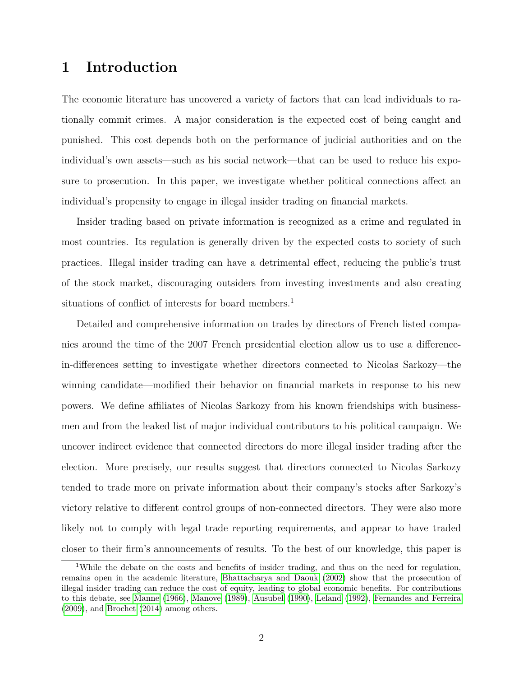### **1 Introduction**

The economic literature has uncovered a variety of factors that can lead individuals to rationally commit crimes. A major consideration is the expected cost of being caught and punished. This cost depends both on the performance of judicial authorities and on the individual's own assets—such as his social network—that can be used to reduce his exposure to prosecution. In this paper, we investigate whether political connections affect an individual's propensity to engage in illegal insider trading on financial markets.

Insider trading based on private information is recognized as a crime and regulated in most countries. Its regulation is generally driven by the expected costs to society of such practices. Illegal insider trading can have a detrimental effect, reducing the public's trust of the stock market, discouraging outsiders from investing investments and also creating situations of conflict of interests for board members.<sup>1</sup>

Detailed and comprehensive information on trades by directors of French listed companies around the time of the 2007 French presidential election allow us to use a differencein-differences setting to investigate whether directors connected to Nicolas Sarkozy—the winning candidate—modified their behavior on financial markets in response to his new powers. We define affiliates of Nicolas Sarkozy from his known friendships with businessmen and from the leaked list of major individual contributors to his political campaign. We uncover indirect evidence that connected directors do more illegal insider trading after the election. More precisely, our results suggest that directors connected to Nicolas Sarkozy tended to trade more on private information about their company's stocks after Sarkozy's victory relative to different control groups of non-connected directors. They were also more likely not to comply with legal trade reporting requirements, and appear to have traded closer to their firm's announcements of results. To the best of our knowledge, this paper is

<sup>&</sup>lt;sup>1</sup>While the debate on the costs and benefits of insider trading, and thus on the need for regulation, remains open in the academic literature, [Bhattacharya and Daouk](#page-24-0) [\(2002\)](#page-24-0) show that the prosecution of illegal insider trading can reduce the cost of equity, leading to global economic benefits. For contributions to this debate, see [Manne](#page-27-0) [\(1966\)](#page-27-0), [Manove](#page-27-1) [\(1989\)](#page-27-1), [Ausubel](#page-24-1) [\(1990\)](#page-24-1), [Leland](#page-27-2) [\(1992\)](#page-27-2), [Fernandes and Ferreira](#page-26-0) [\(2009\)](#page-26-0), and [Brochet](#page-24-2) [\(2014\)](#page-24-2) among others.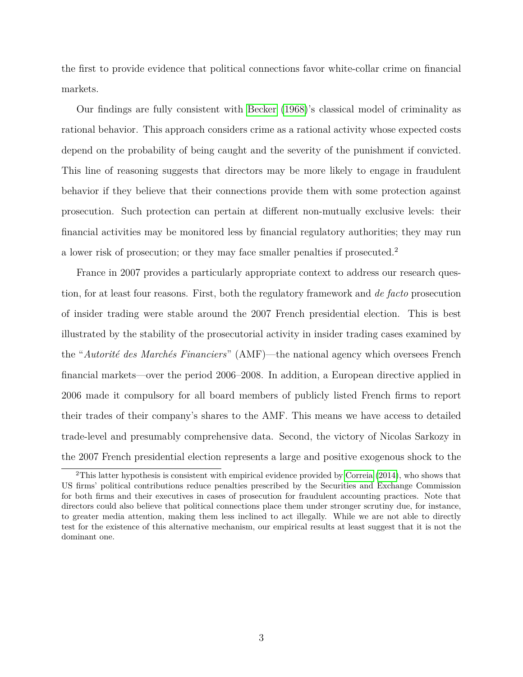the first to provide evidence that political connections favor white-collar crime on financial markets.

Our findings are fully consistent with [Becker](#page-24-3) [\(1968\)](#page-24-3)'s classical model of criminality as rational behavior. This approach considers crime as a rational activity whose expected costs depend on the probability of being caught and the severity of the punishment if convicted. This line of reasoning suggests that directors may be more likely to engage in fraudulent behavior if they believe that their connections provide them with some protection against prosecution. Such protection can pertain at different non-mutually exclusive levels: their financial activities may be monitored less by financial regulatory authorities; they may run a lower risk of prosecution; or they may face smaller penalties if prosecuted.<sup>2</sup>

France in 2007 provides a particularly appropriate context to address our research question, for at least four reasons. First, both the regulatory framework and *de facto* prosecution of insider trading were stable around the 2007 French presidential election. This is best illustrated by the stability of the prosecutorial activity in insider trading cases examined by the "*Autorit´e des March´es Financiers*" (AMF)—the national agency which oversees French financial markets—over the period 2006–2008. In addition, a European directive applied in 2006 made it compulsory for all board members of publicly listed French firms to report their trades of their company's shares to the AMF. This means we have access to detailed trade-level and presumably comprehensive data. Second, the victory of Nicolas Sarkozy in the 2007 French presidential election represents a large and positive exogenous shock to the

<sup>2</sup>This latter hypothesis is consistent with empirical evidence provided by [Correia](#page-25-0) [\(2014\)](#page-25-0), who shows that US firms' political contributions reduce penalties prescribed by the Securities and Exchange Commission for both firms and their executives in cases of prosecution for fraudulent accounting practices. Note that directors could also believe that political connections place them under stronger scrutiny due, for instance, to greater media attention, making them less inclined to act illegally. While we are not able to directly test for the existence of this alternative mechanism, our empirical results at least suggest that it is not the dominant one.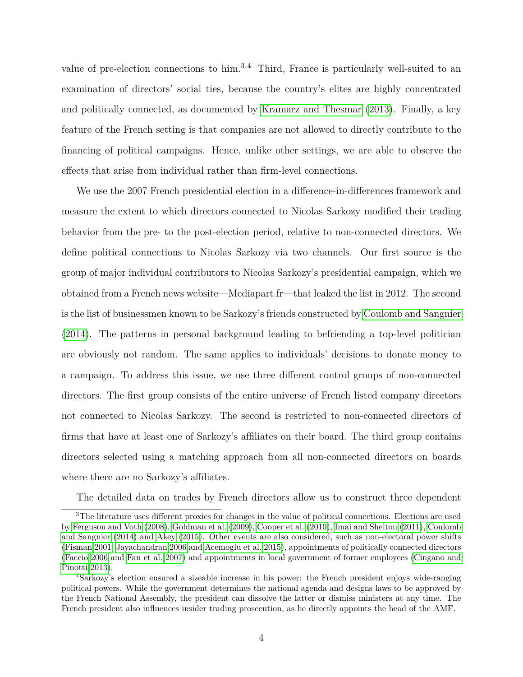value of pre-election connections to him.<sup>3,4</sup> Third, France is particularly well-suited to an examination of directors' social ties, because the country's elites are highly concentrated and politically connected, as documented by [Kramarz and Thesmar](#page-27-3) [\(2013\)](#page-27-3). Finally, a key feature of the French setting is that companies are not allowed to directly contribute to the financing of political campaigns. Hence, unlike other settings, we are able to observe the effects that arise from individual rather than firm-level connections.

We use the 2007 French presidential election in a difference-in-differences framework and measure the extent to which directors connected to Nicolas Sarkozy modified their trading behavior from the pre- to the post-election period, relative to non-connected directors. We define political connections to Nicolas Sarkozy via two channels. Our first source is the group of major individual contributors to Nicolas Sarkozy's presidential campaign, which we obtained from a French news website—Mediapart.fr—that leaked the list in 2012. The second is the list of businessmen known to be Sarkozy's friends constructed by [Coulomb and Sangnier](#page-25-1) [\(2014\)](#page-25-1). The patterns in personal background leading to befriending a top-level politician are obviously not random. The same applies to individuals' decisions to donate money to a campaign. To address this issue, we use three different control groups of non-connected directors. The first group consists of the entire universe of French listed company directors not connected to Nicolas Sarkozy. The second is restricted to non-connected directors of firms that have at least one of Sarkozy's affiliates on their board. The third group contains directors selected using a matching approach from all non-connected directors on boards where there are no Sarkozy's affiliates.

The detailed data on trades by French directors allow us to construct three dependent

<sup>3</sup>The literature uses different proxies for changes in the value of political connections. Elections are used by [Ferguson and Voth](#page-25-2) [\(2008\)](#page-25-2), [Goldman et al.](#page-26-1) [\(2009\)](#page-26-1), [Cooper et al.](#page-25-3) [\(2010\)](#page-25-3), [Imai and Shelton](#page-26-2) [\(2011\)](#page-26-2), [Coulomb](#page-25-1) [and Sangnier](#page-25-1) [\(2014\)](#page-25-1) and [Akey](#page-24-4) [\(2015\)](#page-24-4). Other events are also considered, such as non-electoral power shifts [\(Fisman 2001,](#page-26-3) [Jayachandran 2006](#page-26-4) and [Acemoglu et al. 2015\)](#page-24-5), appointments of politically connected directors [\(Faccio 2006](#page-25-4) and [Fan et al. 2007\)](#page-25-5) and appointments in local government of former employees [\(Cingano and](#page-24-6) [Pinotti 2013\)](#page-24-6).

<sup>4</sup>Sarkozy's election ensured a sizeable increase in his power: the French president enjoys wide-ranging political powers. While the government determines the national agenda and designs laws to be approved by the French National Assembly, the president can dissolve the latter or dismiss ministers at any time. The French president also influences insider trading prosecution, as he directly appoints the head of the AMF.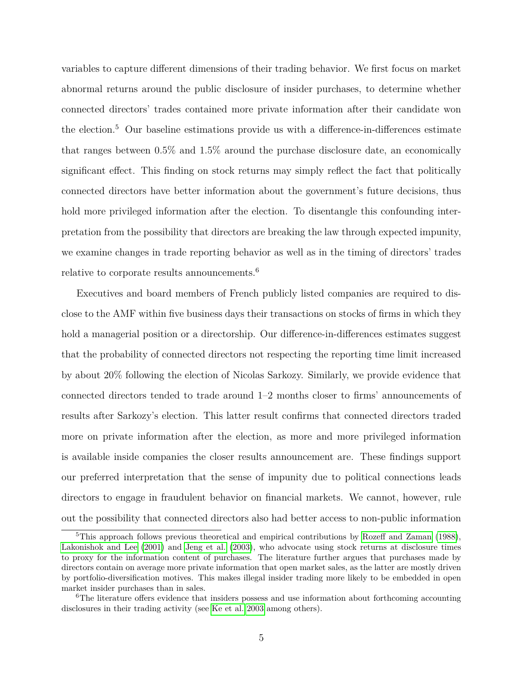variables to capture different dimensions of their trading behavior. We first focus on market abnormal returns around the public disclosure of insider purchases, to determine whether connected directors' trades contained more private information after their candidate won the election.<sup>5</sup> Our baseline estimations provide us with a difference-in-differences estimate that ranges between 0*.*5% and 1*.*5% around the purchase disclosure date, an economically significant effect. This finding on stock returns may simply reflect the fact that politically connected directors have better information about the government's future decisions, thus hold more privileged information after the election. To disentangle this confounding interpretation from the possibility that directors are breaking the law through expected impunity, we examine changes in trade reporting behavior as well as in the timing of directors' trades relative to corporate results announcements.<sup>6</sup>

Executives and board members of French publicly listed companies are required to disclose to the AMF within five business days their transactions on stocks of firms in which they hold a managerial position or a directorship. Our difference-in-differences estimates suggest that the probability of connected directors not respecting the reporting time limit increased by about 20% following the election of Nicolas Sarkozy. Similarly, we provide evidence that connected directors tended to trade around 1–2 months closer to firms' announcements of results after Sarkozy's election. This latter result confirms that connected directors traded more on private information after the election, as more and more privileged information is available inside companies the closer results announcement are. These findings support our preferred interpretation that the sense of impunity due to political connections leads directors to engage in fraudulent behavior on financial markets. We cannot, however, rule out the possibility that connected directors also had better access to non-public information

 $5$ This approach follows previous theoretical and empirical contributions by [Rozeff and Zaman](#page-28-0) [\(1988\)](#page-28-0), [Lakonishok and Lee](#page-27-4) [\(2001\)](#page-27-4) and [Jeng et al.](#page-26-5) [\(2003\)](#page-26-5), who advocate using stock returns at disclosure times to proxy for the information content of purchases. The literature further argues that purchases made by directors contain on average more private information that open market sales, as the latter are mostly driven by portfolio-diversification motives. This makes illegal insider trading more likely to be embedded in open market insider purchases than in sales.

<sup>&</sup>lt;sup>6</sup>The literature offers evidence that insiders possess and use information about forthcoming accounting disclosures in their trading activity (see [Ke et al. 2003](#page-27-5) among others).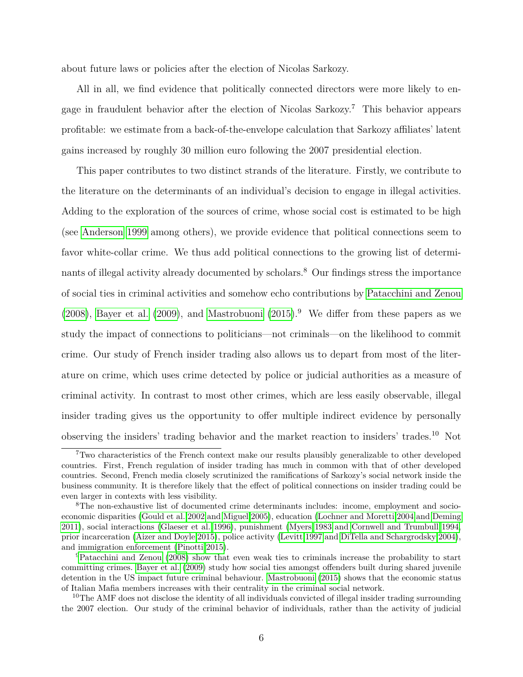about future laws or policies after the election of Nicolas Sarkozy.

All in all, we find evidence that politically connected directors were more likely to engage in fraudulent behavior after the election of Nicolas Sarkozy.<sup>7</sup> This behavior appears profitable: we estimate from a back-of-the-envelope calculation that Sarkozy affiliates' latent gains increased by roughly 30 million euro following the 2007 presidential election.

This paper contributes to two distinct strands of the literature. Firstly, we contribute to the literature on the determinants of an individual's decision to engage in illegal activities. Adding to the exploration of the sources of crime, whose social cost is estimated to be high (see [Anderson 1999](#page-24-7) among others), we provide evidence that political connections seem to favor white-collar crime. We thus add political connections to the growing list of determinants of illegal activity already documented by scholars.<sup>8</sup> Our findings stress the importance of social ties in criminal activities and somehow echo contributions by [Patacchini and Zenou](#page-28-1) [\(2008\)](#page-28-1), [Bayer et al.](#page-24-8) [\(2009\)](#page-24-8), and [Mastrobuoni](#page-27-6) [\(2015\)](#page-27-6).<sup>9</sup> We differ from these papers as we study the impact of connections to politicians—not criminals—on the likelihood to commit crime. Our study of French insider trading also allows us to depart from most of the literature on crime, which uses crime detected by police or judicial authorities as a measure of criminal activity. In contrast to most other crimes, which are less easily observable, illegal insider trading gives us the opportunity to offer multiple indirect evidence by personally observing the insiders' trading behavior and the market reaction to insiders' trades.<sup>10</sup> Not

<sup>7</sup>Two characteristics of the French context make our results plausibly generalizable to other developed countries. First, French regulation of insider trading has much in common with that of other developed countries. Second, French media closely scrutinized the ramifications of Sarkozy's social network inside the business community. It is therefore likely that the effect of political connections on insider trading could be even larger in contexts with less visibility.

<sup>8</sup>The non-exhaustive list of documented crime determinants includes: income, employment and socioeconomic disparities [\(Gould et al. 2002](#page-26-6) and [Miguel 2005\)](#page-28-2), education [\(Lochner and Moretti 2004](#page-27-7) and [Deming](#page-25-6) [2011\)](#page-25-6), social interactions [\(Glaeser et al. 1996\)](#page-26-7), punishment [\(Myers 1983](#page-28-3) and [Cornwell and Trumbull 1994,](#page-25-7) prior incarceration [\(Aizer and Doyle 2015\)](#page-24-9), police activity [\(Levitt 1997](#page-27-8) and [DiTella and Schargrodsky 2004\)](#page-25-8), and immigration enforcement [\(Pinotti 2015\)](#page-28-4).

<sup>9</sup>[Patacchini and Zenou](#page-28-1) [\(2008\)](#page-28-1) show that even weak ties to criminals increase the probability to start committing crimes. [Bayer et al.](#page-24-8) [\(2009\)](#page-24-8) study how social ties amongst offenders built during shared juvenile detention in the US impact future criminal behaviour. [Mastrobuoni](#page-27-6) [\(2015\)](#page-27-6) shows that the economic status of Italian Mafia members increases with their centrality in the criminal social network.

<sup>&</sup>lt;sup>10</sup>The AMF does not disclose the identity of all individuals convicted of illegal insider trading surrounding the 2007 election. Our study of the criminal behavior of individuals, rather than the activity of judicial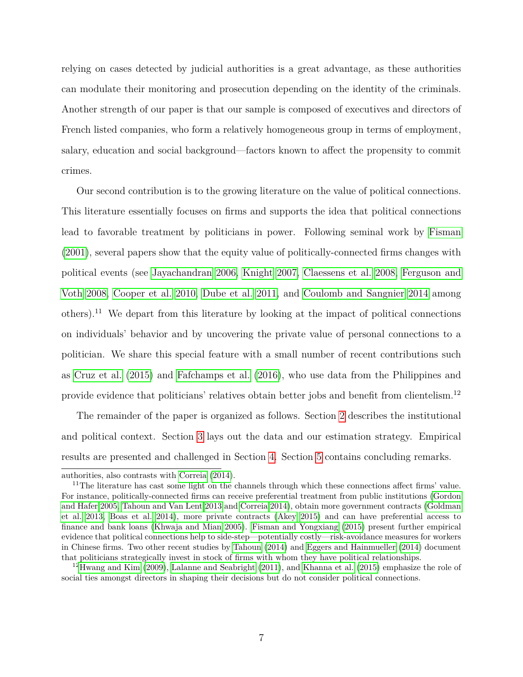relying on cases detected by judicial authorities is a great advantage, as these authorities can modulate their monitoring and prosecution depending on the identity of the criminals. Another strength of our paper is that our sample is composed of executives and directors of French listed companies, who form a relatively homogeneous group in terms of employment, salary, education and social background—factors known to affect the propensity to commit crimes.

Our second contribution is to the growing literature on the value of political connections. This literature essentially focuses on firms and supports the idea that political connections lead to favorable treatment by politicians in power. Following seminal work by [Fisman](#page-26-3) [\(2001\)](#page-26-3), several papers show that the equity value of politically-connected firms changes with political events (see [Jayachandran 2006,](#page-26-4) [Knight 2007,](#page-27-9) [Claessens et al. 2008,](#page-25-9) [Ferguson and](#page-25-2) [Voth 2008,](#page-25-2) [Cooper et al. 2010,](#page-25-3) [Dube et al. 2011,](#page-25-10) and [Coulomb and Sangnier 2014](#page-25-1) among others).<sup>11</sup> We depart from this literature by looking at the impact of political connections on individuals' behavior and by uncovering the private value of personal connections to a politician. We share this special feature with a small number of recent contributions such as [Cruz et al.](#page-25-11) [\(2015\)](#page-25-11) and [Fafchamps et al.](#page-25-12) [\(2016\)](#page-25-12), who use data from the Philippines and provide evidence that politicians' relatives obtain better jobs and benefit from clientelism.<sup>12</sup>

The remainder of the paper is organized as follows. Section [2](#page-8-0) describes the institutional and political context. Section [3](#page-11-0) lays out the data and our estimation strategy. Empirical results are presented and challenged in Section [4.](#page-17-0) Section [5](#page-23-0) contains concluding remarks.

authorities, also contrasts with [Correia](#page-25-0) [\(2014\)](#page-25-0).

<sup>&</sup>lt;sup>11</sup>The literature has cast some light on the channels through which these connections affect firms' value. For instance, politically-connected firms can receive preferential treatment from public institutions [\(Gordon](#page-26-8) [and Hafer 2005,](#page-26-8) [Tahoun and Van Lent 2013](#page-28-5) and [Correia 2014\)](#page-25-0), obtain more government contracts [\(Goldman](#page-26-9) [et al. 2013,](#page-26-9) [Boas et al. 2014\)](#page-24-10), more private contracts [\(Akey 2015\)](#page-24-4) and can have preferential access to finance and bank loans [\(Khwaja and Mian 2005\)](#page-27-10). [Fisman and Yongxiang](#page-26-10) [\(2015\)](#page-26-10) present further empirical evidence that political connections help to side-step—potentially costly—risk-avoidance measures for workers in Chinese firms. Two other recent studies by [Tahoun](#page-28-6) [\(2014\)](#page-28-6) and [Eggers and Hainmueller](#page-25-13) [\(2014\)](#page-25-13) document that politicians strategically invest in stock of firms with whom they have political relationships.

<sup>12</sup>[Hwang and Kim](#page-26-11) [\(2009\)](#page-26-11), [Lalanne and Seabright](#page-27-11) [\(2011\)](#page-27-11), and [Khanna et al.](#page-27-12) [\(2015\)](#page-27-12) emphasize the role of social ties amongst directors in shaping their decisions but do not consider political connections.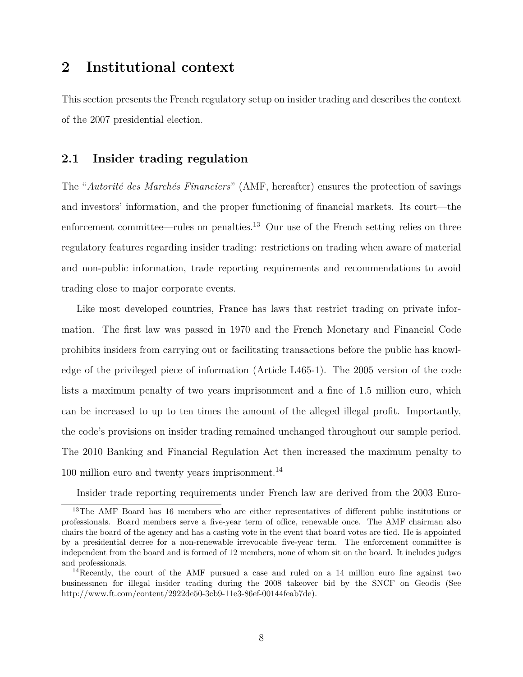### <span id="page-8-0"></span>**2 Institutional context**

This section presents the French regulatory setup on insider trading and describes the context of the 2007 presidential election.

#### **2.1 Insider trading regulation**

The "Autorité des Marchés Financiers" (AMF, hereafter) ensures the protection of savings and investors' information, and the proper functioning of financial markets. Its court—the enforcement committee—rules on penalties.<sup>13</sup> Our use of the French setting relies on three regulatory features regarding insider trading: restrictions on trading when aware of material and non-public information, trade reporting requirements and recommendations to avoid trading close to major corporate events.

Like most developed countries, France has laws that restrict trading on private information. The first law was passed in 1970 and the French Monetary and Financial Code prohibits insiders from carrying out or facilitating transactions before the public has knowledge of the privileged piece of information (Article L465-1). The 2005 version of the code lists a maximum penalty of two years imprisonment and a fine of 1*.*5 million euro, which can be increased to up to ten times the amount of the alleged illegal profit. Importantly, the code's provisions on insider trading remained unchanged throughout our sample period. The 2010 Banking and Financial Regulation Act then increased the maximum penalty to 100 million euro and twenty years imprisonment.<sup>14</sup>

Insider trade reporting requirements under French law are derived from the 2003 Euro-

<sup>&</sup>lt;sup>13</sup>The AMF Board has 16 members who are either representatives of different public institutions or professionals. Board members serve a five-year term of office, renewable once. The AMF chairman also chairs the board of the agency and has a casting vote in the event that board votes are tied. He is appointed by a presidential decree for a non-renewable irrevocable five-year term. The enforcement committee is independent from the board and is formed of 12 members, none of whom sit on the board. It includes judges and professionals.

<sup>14</sup>Recently, the court of the AMF pursued a case and ruled on a 14 million euro fine against two businessmen for illegal insider trading during the 2008 takeover bid by the SNCF on Geodis (See http://www.ft.com/content/2922de50-3cb9-11e3-86ef-00144feab7de).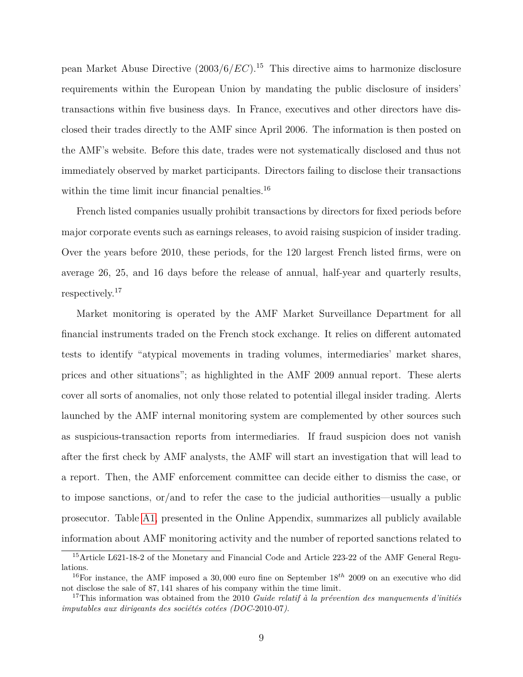pean Market Abuse Directive (2003*/*6*/EC*).<sup>15</sup> This directive aims to harmonize disclosure requirements within the European Union by mandating the public disclosure of insiders' transactions within five business days. In France, executives and other directors have disclosed their trades directly to the AMF since April 2006. The information is then posted on the AMF's website. Before this date, trades were not systematically disclosed and thus not immediately observed by market participants. Directors failing to disclose their transactions within the time limit incur financial penalties.<sup>16</sup>

French listed companies usually prohibit transactions by directors for fixed periods before major corporate events such as earnings releases, to avoid raising suspicion of insider trading. Over the years before 2010, these periods, for the 120 largest French listed firms, were on average 26, 25, and 16 days before the release of annual, half-year and quarterly results, respectively.<sup>17</sup>

Market monitoring is operated by the AMF Market Surveillance Department for all financial instruments traded on the French stock exchange. It relies on different automated tests to identify "atypical movements in trading volumes, intermediaries' market shares, prices and other situations"; as highlighted in the AMF 2009 annual report. These alerts cover all sorts of anomalies, not only those related to potential illegal insider trading. Alerts launched by the AMF internal monitoring system are complemented by other sources such as suspicious-transaction reports from intermediaries. If fraud suspicion does not vanish after the first check by AMF analysts, the AMF will start an investigation that will lead to a report. Then, the AMF enforcement committee can decide either to dismiss the case, or to impose sanctions, or/and to refer the case to the judicial authorities—usually a public prosecutor. Table [A1,](#page-32-0) presented in the Online Appendix, summarizes all publicly available information about AMF monitoring activity and the number of reported sanctions related to

<sup>15</sup>Article L621-18-2 of the Monetary and Financial Code and Article 223-22 of the AMF General Regulations.

<sup>&</sup>lt;sup>16</sup>For instance, the AMF imposed a 30,000 euro fine on September 18<sup>th</sup> 2009 on an executive who did not disclose the sale of 87*,* 141 shares of his company within the time limit.

 $17$ This information was obtained from the 2010 *Guide relatif à la prévention des manquements d'initiés imputables aux dirigeants des sociétés cotées (DOC-2010-07)*.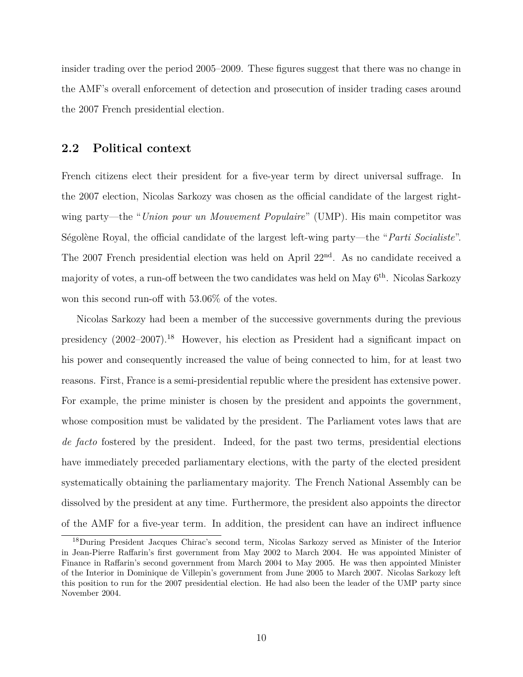insider trading over the period 2005–2009. These figures suggest that there was no change in the AMF's overall enforcement of detection and prosecution of insider trading cases around the 2007 French presidential election.

#### **2.2 Political context**

French citizens elect their president for a five-year term by direct universal suffrage. In the 2007 election, Nicolas Sarkozy was chosen as the official candidate of the largest rightwing party—the "*Union pour un Mouvement Populaire*" (UMP). His main competitor was Ségolène Royal, the official candidate of the largest left-wing party—the "*Parti Socialiste*". The 2007 French presidential election was held on April 22nd. As no candidate received a majority of votes, a run-off between the two candidates was held on May 6<sup>th</sup>. Nicolas Sarkozy won this second run-off with 53*.*06% of the votes.

Nicolas Sarkozy had been a member of the successive governments during the previous presidency  $(2002-2007)$ .<sup>18</sup> However, his election as President had a significant impact on his power and consequently increased the value of being connected to him, for at least two reasons. First, France is a semi-presidential republic where the president has extensive power. For example, the prime minister is chosen by the president and appoints the government, whose composition must be validated by the president. The Parliament votes laws that are *de facto* fostered by the president. Indeed, for the past two terms, presidential elections have immediately preceded parliamentary elections, with the party of the elected president systematically obtaining the parliamentary majority. The French National Assembly can be dissolved by the president at any time. Furthermore, the president also appoints the director of the AMF for a five-year term. In addition, the president can have an indirect influence

<sup>18</sup>During President Jacques Chirac's second term, Nicolas Sarkozy served as Minister of the Interior in Jean-Pierre Raffarin's first government from May 2002 to March 2004. He was appointed Minister of Finance in Raffarin's second government from March 2004 to May 2005. He was then appointed Minister of the Interior in Dominique de Villepin's government from June 2005 to March 2007. Nicolas Sarkozy left this position to run for the 2007 presidential election. He had also been the leader of the UMP party since November 2004.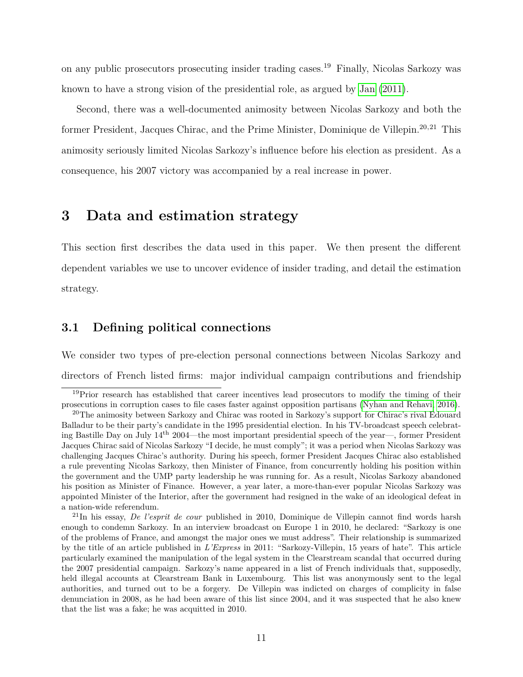on any public prosecutors prosecuting insider trading cases.<sup>19</sup> Finally, Nicolas Sarkozy was known to have a strong vision of the presidential role, as argued by [Jan](#page-26-12) [\(2011\)](#page-26-12).

Second, there was a well-documented animosity between Nicolas Sarkozy and both the former President, Jacques Chirac, and the Prime Minister, Dominique de Villepin.<sup>20,21</sup> This animosity seriously limited Nicolas Sarkozy's influence before his election as president. As a consequence, his 2007 victory was accompanied by a real increase in power.

### <span id="page-11-0"></span>**3 Data and estimation strategy**

This section first describes the data used in this paper. We then present the different dependent variables we use to uncover evidence of insider trading, and detail the estimation strategy.

#### **3.1 Defining political connections**

We consider two types of pre-election personal connections between Nicolas Sarkozy and directors of French listed firms: major individual campaign contributions and friendship

<sup>19</sup>Prior research has established that career incentives lead prosecutors to modify the timing of their prosecutions in corruption cases to file cases faster against opposition partisans [\(Nyhan and Rehavi, 2016\)](#page-28-7).

<sup>&</sup>lt;sup>20</sup>The animosity between Sarkozy and Chirac was rooted in Sarkozy's support for Chirac's rival Edouard Balladur to be their party's candidate in the 1995 presidential election. In his TV-broadcast speech celebrating Bastille Day on July  $14^{th}$  2004—the most important presidential speech of the year—, former President Jacques Chirac said of Nicolas Sarkozy "I decide, he must comply"; it was a period when Nicolas Sarkozy was challenging Jacques Chirac's authority. During his speech, former President Jacques Chirac also established a rule preventing Nicolas Sarkozy, then Minister of Finance, from concurrently holding his position within the government and the UMP party leadership he was running for. As a result, Nicolas Sarkozy abandoned his position as Minister of Finance. However, a year later, a more-than-ever popular Nicolas Sarkozy was appointed Minister of the Interior, after the government had resigned in the wake of an ideological defeat in a nation-wide referendum.

<sup>21</sup>In his essay, *De l'esprit de cour* published in 2010, Dominique de Villepin cannot find words harsh enough to condemn Sarkozy. In an interview broadcast on Europe 1 in 2010, he declared: "Sarkozy is one of the problems of France, and amongst the major ones we must address". Their relationship is summarized by the title of an article published in *L'Express* in 2011: "Sarkozy-Villepin, 15 years of hate". This article particularly examined the manipulation of the legal system in the Clearstream scandal that occurred during the 2007 presidential campaign. Sarkozy's name appeared in a list of French individuals that, supposedly, held illegal accounts at Clearstream Bank in Luxembourg. This list was anonymously sent to the legal authorities, and turned out to be a forgery. De Villepin was indicted on charges of complicity in false denunciation in 2008, as he had been aware of this list since 2004, and it was suspected that he also knew that the list was a fake; he was acquitted in 2010.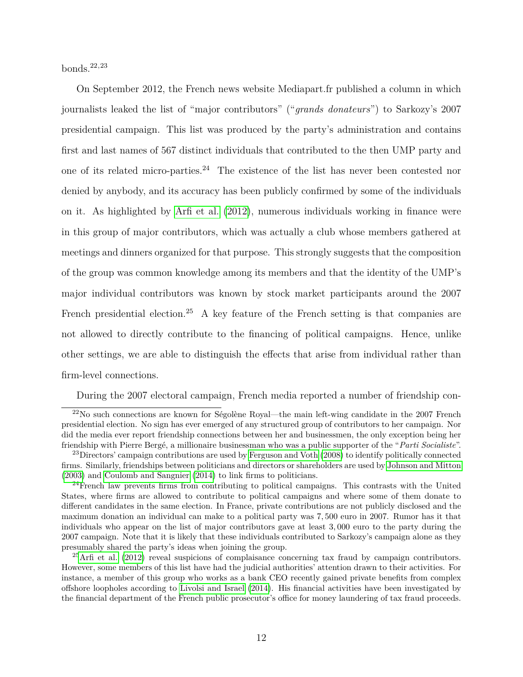bonds.22,23

On September 2012, the French news website Mediapart.fr published a column in which journalists leaked the list of "major contributors" ("*grands donateurs*") to Sarkozy's 2007 presidential campaign. This list was produced by the party's administration and contains first and last names of 567 distinct individuals that contributed to the then UMP party and one of its related micro-parties.<sup>24</sup> The existence of the list has never been contested nor denied by anybody, and its accuracy has been publicly confirmed by some of the individuals on it. As highlighted by [Arfi et al.](#page-24-11) [\(2012\)](#page-24-11), numerous individuals working in finance were in this group of major contributors, which was actually a club whose members gathered at meetings and dinners organized for that purpose. This strongly suggests that the composition of the group was common knowledge among its members and that the identity of the UMP's major individual contributors was known by stock market participants around the 2007 French presidential election.<sup>25</sup> A key feature of the French setting is that companies are not allowed to directly contribute to the financing of political campaigns. Hence, unlike other settings, we are able to distinguish the effects that arise from individual rather than firm-level connections.

During the 2007 electoral campaign, French media reported a number of friendship con-

 $22$ No such connections are known for Ségolène Royal—the main left-wing candidate in the 2007 French presidential election. No sign has ever emerged of any structured group of contributors to her campaign. Nor did the media ever report friendship connections between her and businessmen, the only exception being her friendship with Pierre Berg´e, a millionaire businessman who was a public supporter of the "*Parti Socialiste*".

<sup>&</sup>lt;sup>23</sup>Directors' campaign contributions are used by [Ferguson and Voth](#page-25-2) [\(2008\)](#page-25-2) to identify politically connected firms. Similarly, friendships between politicians and directors or shareholders are used by [Johnson and Mitton](#page-26-13) [\(2003\)](#page-26-13) and [Coulomb and Sangnier](#page-25-1) [\(2014\)](#page-25-1) to link firms to politicians.

<sup>&</sup>lt;sup>24</sup>French law prevents firms from contributing to political campaigns. This contrasts with the United States, where firms are allowed to contribute to political campaigns and where some of them donate to different candidates in the same election. In France, private contributions are not publicly disclosed and the maximum donation an individual can make to a political party was 7*,* 500 euro in 2007. Rumor has it that individuals who appear on the list of major contributors gave at least 3*,* 000 euro to the party during the 2007 campaign. Note that it is likely that these individuals contributed to Sarkozy's campaign alone as they presumably shared the party's ideas when joining the group.

 $25$ [Arfi et al.](#page-24-11) [\(2012\)](#page-24-11) reveal suspicions of complaisance concerning tax fraud by campaign contributors. However, some members of this list have had the judicial authorities' attention drawn to their activities. For instance, a member of this group who works as a bank CEO recently gained private benefits from complex offshore loopholes according to [Livolsi and Israel](#page-27-13) [\(2014\)](#page-27-13). His financial activities have been investigated by the financial department of the French public prosecutor's office for money laundering of tax fraud proceeds.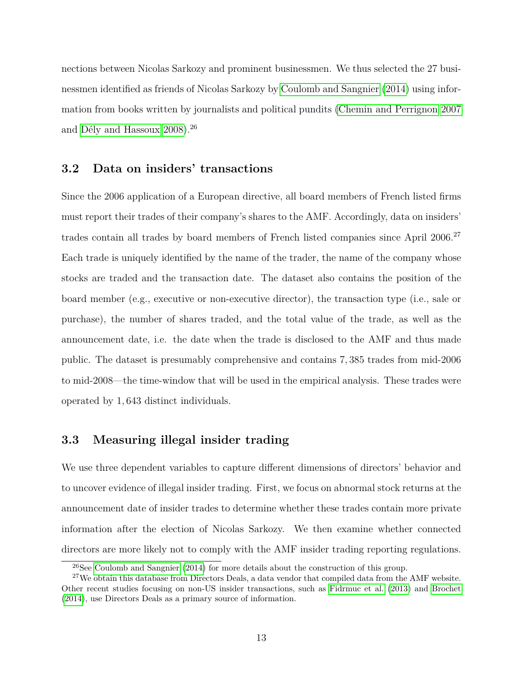nections between Nicolas Sarkozy and prominent businessmen. We thus selected the 27 businessmen identified as friends of Nicolas Sarkozy by [Coulomb and Sangnier](#page-25-1) [\(2014\)](#page-25-1) using information from books written by journalists and political pundits [\(Chemin and Perrignon 2007](#page-24-12) and Dély and Hassoux  $2008$ ).<sup>26</sup>

#### **3.2 Data on insiders' transactions**

Since the 2006 application of a European directive, all board members of French listed firms must report their trades of their company's shares to the AMF. Accordingly, data on insiders' trades contain all trades by board members of French listed companies since April 2006.<sup>27</sup> Each trade is uniquely identified by the name of the trader, the name of the company whose stocks are traded and the transaction date. The dataset also contains the position of the board member (e.g., executive or non-executive director), the transaction type (i.e., sale or purchase), the number of shares traded, and the total value of the trade, as well as the announcement date, i.e. the date when the trade is disclosed to the AMF and thus made public. The dataset is presumably comprehensive and contains 7*,* 385 trades from mid-2006 to mid-2008—the time-window that will be used in the empirical analysis. These trades were operated by 1*,* 643 distinct individuals.

#### **3.3 Measuring illegal insider trading**

We use three dependent variables to capture different dimensions of directors' behavior and to uncover evidence of illegal insider trading. First, we focus on abnormal stock returns at the announcement date of insider trades to determine whether these trades contain more private information after the election of Nicolas Sarkozy. We then examine whether connected directors are more likely not to comply with the AMF insider trading reporting regulations.

<sup>&</sup>lt;sup>26</sup>See [Coulomb and Sangnier](#page-25-1) [\(2014\)](#page-25-1) for more details about the construction of this group.

<sup>&</sup>lt;sup>27</sup>We obtain this database from Directors Deals, a data vendor that compiled data from the AMF website. Other recent studies focusing on non-US insider transactions, such as [Fidrmuc et al.](#page-26-14) [\(2013\)](#page-26-14) and [Brochet](#page-24-2) [\(2014\)](#page-24-2), use Directors Deals as a primary source of information.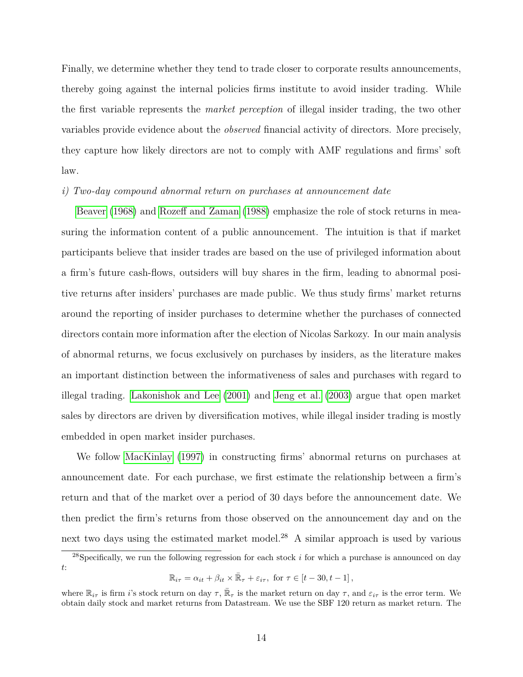Finally, we determine whether they tend to trade closer to corporate results announcements, thereby going against the internal policies firms institute to avoid insider trading. While the first variable represents the *market perception* of illegal insider trading, the two other variables provide evidence about the *observed* financial activity of directors. More precisely, they capture how likely directors are not to comply with AMF regulations and firms' soft law.

#### *i) Two-day compound abnormal return on purchases at announcement date*

[Beaver](#page-24-13) [\(1968\)](#page-24-13) and [Rozeff and Zaman](#page-28-0) [\(1988\)](#page-28-0) emphasize the role of stock returns in measuring the information content of a public announcement. The intuition is that if market participants believe that insider trades are based on the use of privileged information about a firm's future cash-flows, outsiders will buy shares in the firm, leading to abnormal positive returns after insiders' purchases are made public. We thus study firms' market returns around the reporting of insider purchases to determine whether the purchases of connected directors contain more information after the election of Nicolas Sarkozy. In our main analysis of abnormal returns, we focus exclusively on purchases by insiders, as the literature makes an important distinction between the informativeness of sales and purchases with regard to illegal trading. [Lakonishok and Lee](#page-27-4) [\(2001\)](#page-27-4) and [Jeng et al.](#page-26-5) [\(2003\)](#page-26-5) argue that open market sales by directors are driven by diversification motives, while illegal insider trading is mostly embedded in open market insider purchases.

We follow [MacKinlay](#page-27-14) [\(1997\)](#page-27-14) in constructing firms' abnormal returns on purchases at announcement date. For each purchase, we first estimate the relationship between a firm's return and that of the market over a period of 30 days before the announcement date. We then predict the firm's returns from those observed on the announcement day and on the next two days using the estimated market model.<sup>28</sup> A similar approach is used by various

<sup>28</sup>Specifically, we run the following regression for each stock *i* for which a purchase is announced on day *t*:

 $\mathbb{R}_{i\tau} = \alpha_{it} + \beta_{it} \times \bar{\mathbb{R}}_{\tau} + \varepsilon_{i\tau}, \text{ for } \tau \in [t - 30, t - 1],$ 

where  $\mathbb{R}_{i\tau}$  is firm *i*'s stock return on day  $\tau$ ,  $\bar{\mathbb{R}}_{\tau}$  is the market return on day  $\tau$ , and  $\varepsilon_{i\tau}$  is the error term. We obtain daily stock and market returns from Datastream. We use the SBF 120 return as market return. The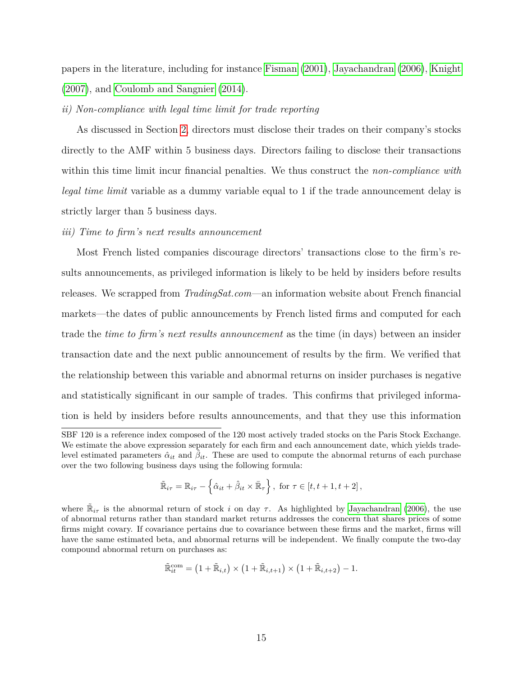papers in the literature, including for instance [Fisman](#page-26-3) [\(2001\)](#page-26-3), [Jayachandran](#page-26-4) [\(2006\)](#page-26-4), [Knight](#page-27-9) [\(2007\)](#page-27-9), and [Coulomb and Sangnier](#page-25-1) [\(2014\)](#page-25-1).

#### *ii) Non-compliance with legal time limit for trade reporting*

As discussed in Section [2,](#page-8-0) directors must disclose their trades on their company's stocks directly to the AMF within 5 business days. Directors failing to disclose their transactions within this time limit incur financial penalties. We thus construct the *non-compliance with legal time limit* variable as a dummy variable equal to 1 if the trade announcement delay is strictly larger than 5 business days.

#### *iii) Time to firm's next results announcement*

Most French listed companies discourage directors' transactions close to the firm's results announcements, as privileged information is likely to be held by insiders before results releases. We scrapped from *TradingSat.com*—an information website about French financial markets—the dates of public announcements by French listed firms and computed for each trade the *time to firm's next results announcement* as the time (in days) between an insider transaction date and the next public announcement of results by the firm. We verified that the relationship between this variable and abnormal returns on insider purchases is negative and statistically significant in our sample of trades. This confirms that privileged information is held by insiders before results announcements, and that they use this information

$$
\tilde{\mathbb{R}}_{i\tau} = \mathbb{R}_{i\tau} - \left\{ \hat{\alpha}_{it} + \hat{\beta}_{it} \times \bar{\mathbb{R}}_{\tau} \right\}, \text{ for } \tau \in [t, t+1, t+2],
$$

$$
\tilde{\mathbb{R}}_{it}^{\text{com}} = \left(1 + \tilde{\mathbb{R}}_{i,t}\right) \times \left(1 + \tilde{\mathbb{R}}_{i,t+1}\right) \times \left(1 + \tilde{\mathbb{R}}_{i,t+2}\right) - 1.
$$

SBF 120 is a reference index composed of the 120 most actively traded stocks on the Paris Stock Exchange. We estimate the above expression separately for each firm and each announcement date, which yields tradelevel estimated parameters  $\hat{\alpha}_{it}$  and  $\hat{\beta}_{it}$ . These are used to compute the abnormal returns of each purchase over the two following business days using the following formula:

where  $\tilde{\mathbb{R}}_{i\tau}$  is the abnormal return of stock *i* on day  $\tau$ . As highlighted by [Jayachandran](#page-26-4) [\(2006\)](#page-26-4), the use of abnormal returns rather than standard market returns addresses the concern that shares prices of some firms might covary. If covariance pertains due to covariance between these firms and the market, firms will have the same estimated beta, and abnormal returns will be independent. We finally compute the two-day compound abnormal return on purchases as: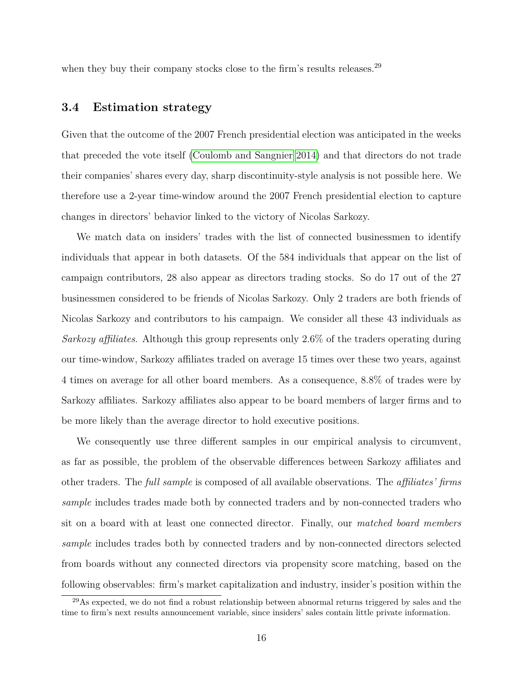when they buy their company stocks close to the firm's results releases.<sup>29</sup>

#### **3.4 Estimation strategy**

Given that the outcome of the 2007 French presidential election was anticipated in the weeks that preceded the vote itself [\(Coulomb and Sangnier 2014\)](#page-25-1) and that directors do not trade their companies' shares every day, sharp discontinuity-style analysis is not possible here. We therefore use a 2-year time-window around the 2007 French presidential election to capture changes in directors' behavior linked to the victory of Nicolas Sarkozy.

We match data on insiders' trades with the list of connected businessmen to identify individuals that appear in both datasets. Of the 584 individuals that appear on the list of campaign contributors, 28 also appear as directors trading stocks. So do 17 out of the 27 businessmen considered to be friends of Nicolas Sarkozy. Only 2 traders are both friends of Nicolas Sarkozy and contributors to his campaign. We consider all these 43 individuals as *Sarkozy affiliates*. Although this group represents only 2*.*6% of the traders operating during our time-window, Sarkozy affiliates traded on average 15 times over these two years, against 4 times on average for all other board members. As a consequence, 8*.*8% of trades were by Sarkozy affiliates. Sarkozy affiliates also appear to be board members of larger firms and to be more likely than the average director to hold executive positions.

We consequently use three different samples in our empirical analysis to circumvent, as far as possible, the problem of the observable differences between Sarkozy affiliates and other traders. The *full sample* is composed of all available observations. The *affiliates' firms sample* includes trades made both by connected traders and by non-connected traders who sit on a board with at least one connected director. Finally, our *matched board members sample* includes trades both by connected traders and by non-connected directors selected from boards without any connected directors via propensity score matching, based on the following observables: firm's market capitalization and industry, insider's position within the

<sup>&</sup>lt;sup>29</sup>As expected, we do not find a robust relationship between abnormal returns triggered by sales and the time to firm's next results announcement variable, since insiders' sales contain little private information.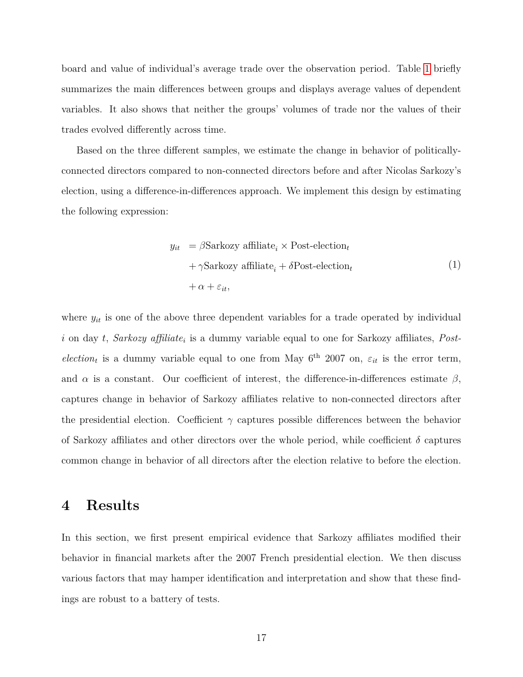board and value of individual's average trade over the observation period. Table [1](#page-29-0) briefly summarizes the main differences between groups and displays average values of dependent variables. It also shows that neither the groups' volumes of trade nor the values of their trades evolved differently across time.

Based on the three different samples, we estimate the change in behavior of politicallyconnected directors compared to non-connected directors before and after Nicolas Sarkozy's election, using a difference-in-differences approach. We implement this design by estimating the following expression:

<span id="page-17-1"></span>
$$
y_{it} = \beta \text{Sarkozy} \text{ affiliate}_{i} \times \text{Post-election}_{t}
$$

$$
+ \gamma \text{Sarkozy} \text{ affiliate}_{i} + \delta \text{Post-election}_{t}
$$

$$
+ \alpha + \varepsilon_{it}, \qquad (1)
$$

where  $y_{it}$  is one of the above three dependent variables for a trade operated by individual *i* on day *t*, *Sarkozy affiliate<sup>i</sup>* is a dummy variable equal to one for Sarkozy affiliates, *Postelection<sub>t</sub>* is a dummy variable equal to one from May  $6^{th}$  2007 on,  $\varepsilon_{it}$  is the error term, and  $\alpha$  is a constant. Our coefficient of interest, the difference-in-differences estimate  $\beta$ , captures change in behavior of Sarkozy affiliates relative to non-connected directors after the presidential election. Coefficient  $\gamma$  captures possible differences between the behavior of Sarkozy affiliates and other directors over the whole period, while coefficient  $\delta$  captures common change in behavior of all directors after the election relative to before the election.

### <span id="page-17-0"></span>**4 Results**

In this section, we first present empirical evidence that Sarkozy affiliates modified their behavior in financial markets after the 2007 French presidential election. We then discuss various factors that may hamper identification and interpretation and show that these findings are robust to a battery of tests.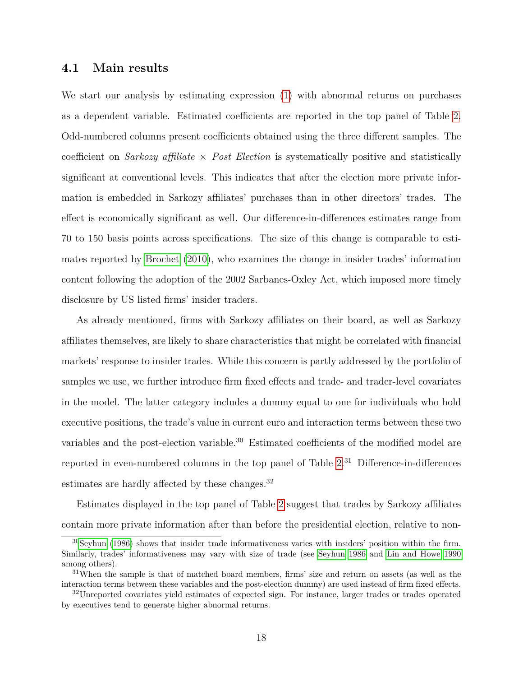#### **4.1 Main results**

We start our analysis by estimating expression [\(1\)](#page-17-1) with abnormal returns on purchases as a dependent variable. Estimated coefficients are reported in the top panel of Table [2.](#page-30-0) Odd-numbered columns present coefficients obtained using the three different samples. The coefficient on *Sarkozy affiliate* × *Post Election* is systematically positive and statistically significant at conventional levels. This indicates that after the election more private information is embedded in Sarkozy affiliates' purchases than in other directors' trades. The effect is economically significant as well. Our difference-in-differences estimates range from 70 to 150 basis points across specifications. The size of this change is comparable to estimates reported by [Brochet](#page-24-14) [\(2010\)](#page-24-14), who examines the change in insider trades' information content following the adoption of the 2002 Sarbanes-Oxley Act, which imposed more timely disclosure by US listed firms' insider traders.

As already mentioned, firms with Sarkozy affiliates on their board, as well as Sarkozy affiliates themselves, are likely to share characteristics that might be correlated with financial markets' response to insider trades. While this concern is partly addressed by the portfolio of samples we use, we further introduce firm fixed effects and trade- and trader-level covariates in the model. The latter category includes a dummy equal to one for individuals who hold executive positions, the trade's value in current euro and interaction terms between these two variables and the post-election variable.<sup>30</sup> Estimated coefficients of the modified model are reported in even-numbered columns in the top panel of Table  $2<sup>31</sup>$  Difference-in-differences estimates are hardly affected by these changes.<sup>32</sup>

Estimates displayed in the top panel of Table [2](#page-30-0) suggest that trades by Sarkozy affiliates contain more private information after than before the presidential election, relative to non-

<sup>30</sup>[Seyhun](#page-28-8) [\(1986\)](#page-28-8) shows that insider trade informativeness varies with insiders' position within the firm. Similarly, trades' informativeness may vary with size of trade (see [Seyhun 1986](#page-28-8) and [Lin and Howe 1990](#page-27-15) among others).

<sup>31</sup>When the sample is that of matched board members, firms' size and return on assets (as well as the interaction terms between these variables and the post-election dummy) are used instead of firm fixed effects.

<sup>&</sup>lt;sup>32</sup>Unreported covariates yield estimates of expected sign. For instance, larger trades or trades operated by executives tend to generate higher abnormal returns.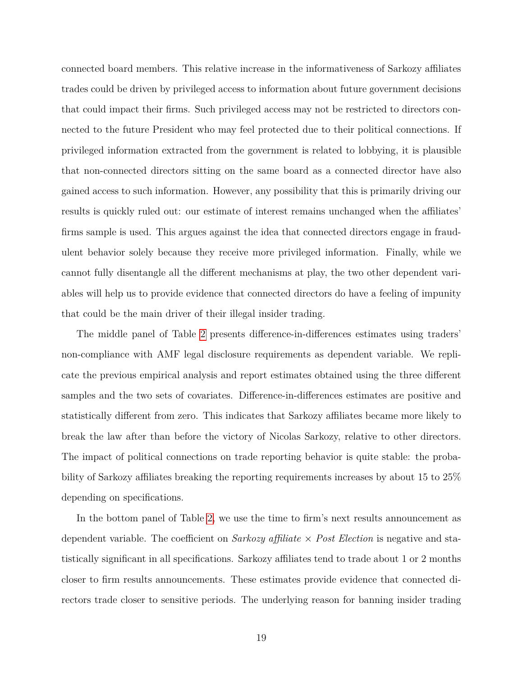connected board members. This relative increase in the informativeness of Sarkozy affiliates trades could be driven by privileged access to information about future government decisions that could impact their firms. Such privileged access may not be restricted to directors connected to the future President who may feel protected due to their political connections. If privileged information extracted from the government is related to lobbying, it is plausible that non-connected directors sitting on the same board as a connected director have also gained access to such information. However, any possibility that this is primarily driving our results is quickly ruled out: our estimate of interest remains unchanged when the affiliates' firms sample is used. This argues against the idea that connected directors engage in fraudulent behavior solely because they receive more privileged information. Finally, while we cannot fully disentangle all the different mechanisms at play, the two other dependent variables will help us to provide evidence that connected directors do have a feeling of impunity that could be the main driver of their illegal insider trading.

The middle panel of Table [2](#page-30-0) presents difference-in-differences estimates using traders' non-compliance with AMF legal disclosure requirements as dependent variable. We replicate the previous empirical analysis and report estimates obtained using the three different samples and the two sets of covariates. Difference-in-differences estimates are positive and statistically different from zero. This indicates that Sarkozy affiliates became more likely to break the law after than before the victory of Nicolas Sarkozy, relative to other directors. The impact of political connections on trade reporting behavior is quite stable: the probability of Sarkozy affiliates breaking the reporting requirements increases by about 15 to 25% depending on specifications.

In the bottom panel of Table [2,](#page-30-0) we use the time to firm's next results announcement as dependent variable. The coefficient on *Sarkozy affiliate* × *Post Election* is negative and statistically significant in all specifications. Sarkozy affiliates tend to trade about 1 or 2 months closer to firm results announcements. These estimates provide evidence that connected directors trade closer to sensitive periods. The underlying reason for banning insider trading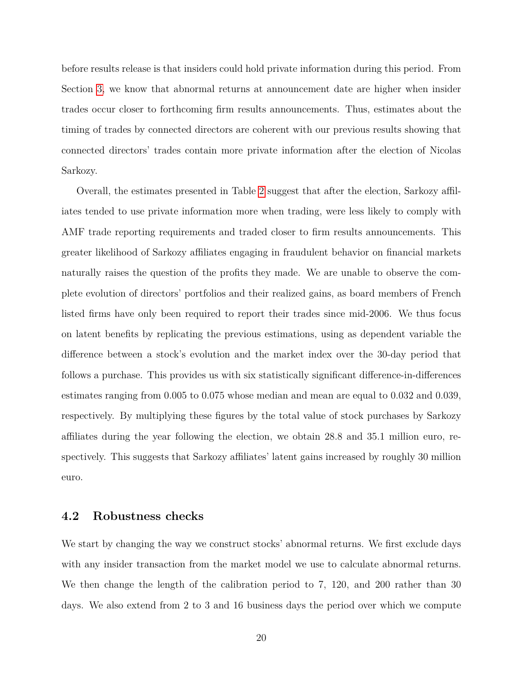before results release is that insiders could hold private information during this period. From Section [3,](#page-11-0) we know that abnormal returns at announcement date are higher when insider trades occur closer to forthcoming firm results announcements. Thus, estimates about the timing of trades by connected directors are coherent with our previous results showing that connected directors' trades contain more private information after the election of Nicolas Sarkozy.

Overall, the estimates presented in Table [2](#page-30-0) suggest that after the election, Sarkozy affiliates tended to use private information more when trading, were less likely to comply with AMF trade reporting requirements and traded closer to firm results announcements. This greater likelihood of Sarkozy affiliates engaging in fraudulent behavior on financial markets naturally raises the question of the profits they made. We are unable to observe the complete evolution of directors' portfolios and their realized gains, as board members of French listed firms have only been required to report their trades since mid-2006. We thus focus on latent benefits by replicating the previous estimations, using as dependent variable the difference between a stock's evolution and the market index over the 30-day period that follows a purchase. This provides us with six statistically significant difference-in-differences estimates ranging from 0*.*005 to 0*.*075 whose median and mean are equal to 0*.*032 and 0*.*039, respectively. By multiplying these figures by the total value of stock purchases by Sarkozy affiliates during the year following the election, we obtain 28*.*8 and 35*.*1 million euro, respectively. This suggests that Sarkozy affiliates' latent gains increased by roughly 30 million euro.

#### **4.2 Robustness checks**

We start by changing the way we construct stocks' abnormal returns. We first exclude days with any insider transaction from the market model we use to calculate abnormal returns. We then change the length of the calibration period to 7, 120, and 200 rather than 30 days. We also extend from 2 to 3 and 16 business days the period over which we compute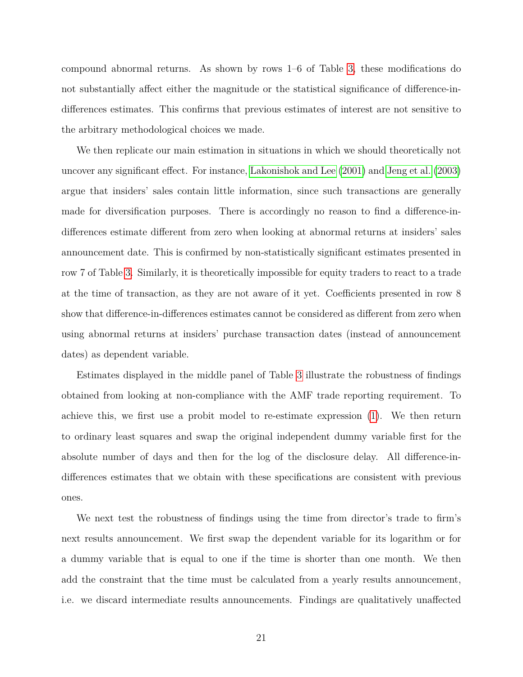compound abnormal returns. As shown by rows 1–6 of Table [3,](#page-31-0) these modifications do not substantially affect either the magnitude or the statistical significance of difference-indifferences estimates. This confirms that previous estimates of interest are not sensitive to the arbitrary methodological choices we made.

We then replicate our main estimation in situations in which we should theoretically not uncover any significant effect. For instance, [Lakonishok and Lee](#page-27-4) [\(2001\)](#page-27-4) and [Jeng et al.](#page-26-5) [\(2003\)](#page-26-5) argue that insiders' sales contain little information, since such transactions are generally made for diversification purposes. There is accordingly no reason to find a difference-indifferences estimate different from zero when looking at abnormal returns at insiders' sales announcement date. This is confirmed by non-statistically significant estimates presented in row 7 of Table [3.](#page-31-0) Similarly, it is theoretically impossible for equity traders to react to a trade at the time of transaction, as they are not aware of it yet. Coefficients presented in row 8 show that difference-in-differences estimates cannot be considered as different from zero when using abnormal returns at insiders' purchase transaction dates (instead of announcement dates) as dependent variable.

Estimates displayed in the middle panel of Table [3](#page-31-0) illustrate the robustness of findings obtained from looking at non-compliance with the AMF trade reporting requirement. To achieve this, we first use a probit model to re-estimate expression [\(1\)](#page-17-1). We then return to ordinary least squares and swap the original independent dummy variable first for the absolute number of days and then for the log of the disclosure delay. All difference-indifferences estimates that we obtain with these specifications are consistent with previous ones.

We next test the robustness of findings using the time from director's trade to firm's next results announcement. We first swap the dependent variable for its logarithm or for a dummy variable that is equal to one if the time is shorter than one month. We then add the constraint that the time must be calculated from a yearly results announcement, i.e. we discard intermediate results announcements. Findings are qualitatively unaffected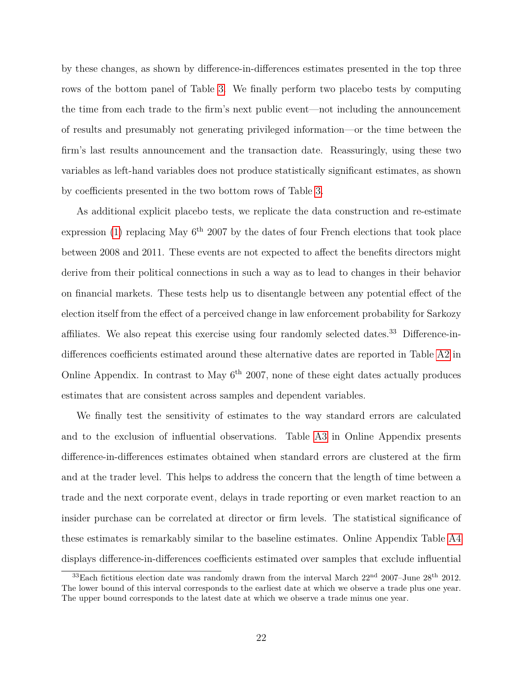by these changes, as shown by difference-in-differences estimates presented in the top three rows of the bottom panel of Table [3.](#page-31-0) We finally perform two placebo tests by computing the time from each trade to the firm's next public event—not including the announcement of results and presumably not generating privileged information—or the time between the firm's last results announcement and the transaction date. Reassuringly, using these two variables as left-hand variables does not produce statistically significant estimates, as shown by coefficients presented in the two bottom rows of Table [3.](#page-31-0)

As additional explicit placebo tests, we replicate the data construction and re-estimate expression [\(1\)](#page-17-1) replacing May  $6<sup>th</sup>$  2007 by the dates of four French elections that took place between 2008 and 2011. These events are not expected to affect the benefits directors might derive from their political connections in such a way as to lead to changes in their behavior on financial markets. These tests help us to disentangle between any potential effect of the election itself from the effect of a perceived change in law enforcement probability for Sarkozy affiliates. We also repeat this exercise using four randomly selected dates.<sup>33</sup> Difference-indifferences coefficients estimated around these alternative dates are reported in Table [A2](#page-33-0) in Online Appendix. In contrast to May  $6<sup>th</sup>$  2007, none of these eight dates actually produces estimates that are consistent across samples and dependent variables.

We finally test the sensitivity of estimates to the way standard errors are calculated and to the exclusion of influential observations. Table [A3](#page-34-0) in Online Appendix presents difference-in-differences estimates obtained when standard errors are clustered at the firm and at the trader level. This helps to address the concern that the length of time between a trade and the next corporate event, delays in trade reporting or even market reaction to an insider purchase can be correlated at director or firm levels. The statistical significance of these estimates is remarkably similar to the baseline estimates. Online Appendix Table [A4](#page-35-0) displays difference-in-differences coefficients estimated over samples that exclude influential

 $33$ Each fictitious election date was randomly drawn from the interval March  $22<sup>nd</sup>$   $2007$ –June  $28<sup>th</sup>$   $2012$ . The lower bound of this interval corresponds to the earliest date at which we observe a trade plus one year. The upper bound corresponds to the latest date at which we observe a trade minus one year.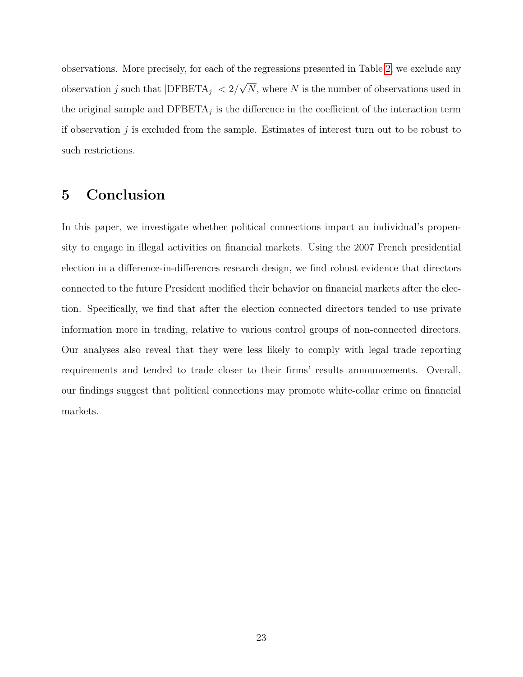observations. More precisely, for each of the regressions presented in Table [2,](#page-30-0) we exclude any observation *j* such that |DFBETA*<sup>j</sup>* | *<* 2*/* √ *N*, where *N* is the number of observations used in the original sample and  $\text{DFBETA}_j$  is the difference in the coefficient of the interaction term if observation *j* is excluded from the sample. Estimates of interest turn out to be robust to such restrictions.

### <span id="page-23-0"></span>**5 Conclusion**

In this paper, we investigate whether political connections impact an individual's propensity to engage in illegal activities on financial markets. Using the 2007 French presidential election in a difference-in-differences research design, we find robust evidence that directors connected to the future President modified their behavior on financial markets after the election. Specifically, we find that after the election connected directors tended to use private information more in trading, relative to various control groups of non-connected directors. Our analyses also reveal that they were less likely to comply with legal trade reporting requirements and tended to trade closer to their firms' results announcements. Overall, our findings suggest that political connections may promote white-collar crime on financial markets.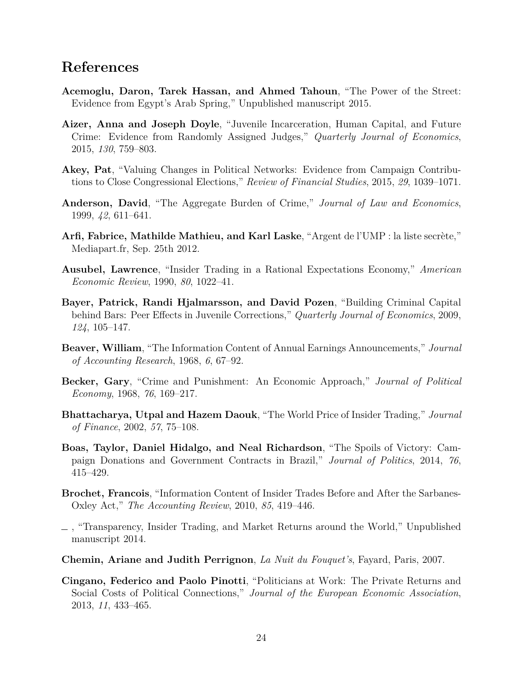### **References**

- <span id="page-24-5"></span>**Acemoglu, Daron, Tarek Hassan, and Ahmed Tahoun**, "The Power of the Street: Evidence from Egypt's Arab Spring," Unpublished manuscript 2015.
- <span id="page-24-9"></span>**Aizer, Anna and Joseph Doyle**, "Juvenile Incarceration, Human Capital, and Future Crime: Evidence from Randomly Assigned Judges," *Quarterly Journal of Economics*, 2015, *130*, 759–803.
- <span id="page-24-4"></span>**Akey, Pat**, "Valuing Changes in Political Networks: Evidence from Campaign Contributions to Close Congressional Elections," *Review of Financial Studies*, 2015, *29*, 1039–1071.
- <span id="page-24-7"></span>**Anderson, David**, "The Aggregate Burden of Crime," *Journal of Law and Economics*, 1999, *42*, 611–641.
- <span id="page-24-11"></span>**Arfi, Fabrice, Mathilde Mathieu, and Karl Laske**, "Argent de l'UMP : la liste secrète," Mediapart.fr, Sep. 25th 2012.
- <span id="page-24-1"></span>**Ausubel, Lawrence**, "Insider Trading in a Rational Expectations Economy," *American Economic Review*, 1990, *80*, 1022–41.
- <span id="page-24-8"></span>**Bayer, Patrick, Randi Hjalmarsson, and David Pozen**, "Building Criminal Capital behind Bars: Peer Effects in Juvenile Corrections," *Quarterly Journal of Economics*, 2009, *124*, 105–147.
- <span id="page-24-13"></span>**Beaver, William**, "The Information Content of Annual Earnings Announcements," *Journal of Accounting Research*, 1968, *6*, 67–92.
- <span id="page-24-3"></span>**Becker, Gary**, "Crime and Punishment: An Economic Approach," *Journal of Political Economy*, 1968, *76*, 169–217.
- <span id="page-24-0"></span>**Bhattacharya, Utpal and Hazem Daouk**, "The World Price of Insider Trading," *Journal of Finance*, 2002, *57*, 75–108.
- <span id="page-24-10"></span>**Boas, Taylor, Daniel Hidalgo, and Neal Richardson**, "The Spoils of Victory: Campaign Donations and Government Contracts in Brazil," *Journal of Politics*, 2014, *76*, 415–429.
- <span id="page-24-14"></span>**Brochet, Francois**, "Information Content of Insider Trades Before and After the Sarbanes-Oxley Act," *The Accounting Review*, 2010, *85*, 419–446.
- <span id="page-24-2"></span>, "Transparency, Insider Trading, and Market Returns around the World," Unpublished manuscript 2014.
- <span id="page-24-12"></span>**Chemin, Ariane and Judith Perrignon**, *La Nuit du Fouquet's*, Fayard, Paris, 2007.
- <span id="page-24-6"></span>**Cingano, Federico and Paolo Pinotti**, "Politicians at Work: The Private Returns and Social Costs of Political Connections," *Journal of the European Economic Association*, 2013, *11*, 433–465.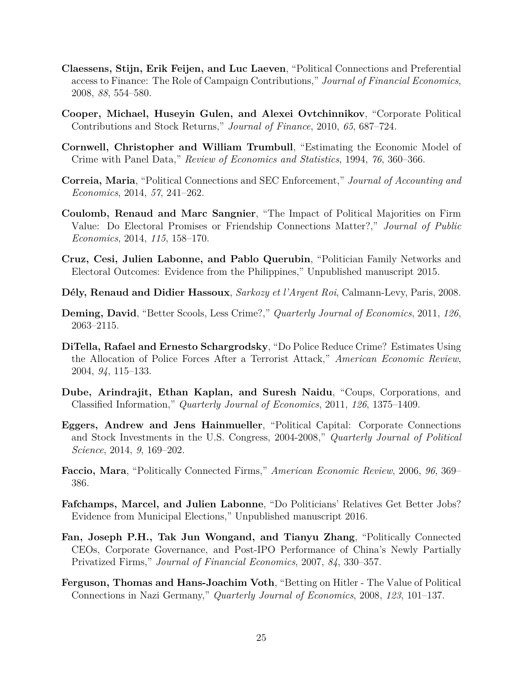- <span id="page-25-9"></span>**Claessens, Stijn, Erik Feijen, and Luc Laeven**, "Political Connections and Preferential access to Finance: The Role of Campaign Contributions," *Journal of Financial Economics*, 2008, *88*, 554–580.
- <span id="page-25-3"></span>**Cooper, Michael, Huseyin Gulen, and Alexei Ovtchinnikov**, "Corporate Political Contributions and Stock Returns," *Journal of Finance*, 2010, *65*, 687–724.
- <span id="page-25-7"></span>**Cornwell, Christopher and William Trumbull**, "Estimating the Economic Model of Crime with Panel Data," *Review of Economics and Statistics*, 1994, *76*, 360–366.
- <span id="page-25-0"></span>**Correia, Maria**, "Political Connections and SEC Enforcement," *Journal of Accounting and Economics*, 2014, *57*, 241–262.
- <span id="page-25-1"></span>**Coulomb, Renaud and Marc Sangnier**, "The Impact of Political Majorities on Firm Value: Do Electoral Promises or Friendship Connections Matter?," *Journal of Public Economics*, 2014, *115*, 158–170.
- <span id="page-25-11"></span>**Cruz, Cesi, Julien Labonne, and Pablo Querubin**, "Politician Family Networks and Electoral Outcomes: Evidence from the Philippines," Unpublished manuscript 2015.
- <span id="page-25-14"></span>**D´ely, Renaud and Didier Hassoux**, *Sarkozy et l'Argent Roi*, Calmann-Levy, Paris, 2008.
- <span id="page-25-6"></span>**Deming, David**, "Better Scools, Less Crime?," *Quarterly Journal of Economics*, 2011, *126*, 2063–2115.
- <span id="page-25-8"></span>**DiTella, Rafael and Ernesto Schargrodsky**, "Do Police Reduce Crime? Estimates Using the Allocation of Police Forces After a Terrorist Attack," *American Economic Review*, 2004, *94*, 115–133.
- <span id="page-25-10"></span>**Dube, Arindrajit, Ethan Kaplan, and Suresh Naidu**, "Coups, Corporations, and Classified Information," *Quarterly Journal of Economics*, 2011, *126*, 1375–1409.
- <span id="page-25-13"></span>**Eggers, Andrew and Jens Hainmueller**, "Political Capital: Corporate Connections and Stock Investments in the U.S. Congress, 2004-2008," *Quarterly Journal of Political Science*, 2014, *9*, 169–202.
- <span id="page-25-4"></span>**Faccio, Mara**, "Politically Connected Firms," *American Economic Review*, 2006, *96*, 369– 386.
- <span id="page-25-12"></span>**Fafchamps, Marcel, and Julien Labonne**, "Do Politicians' Relatives Get Better Jobs? Evidence from Municipal Elections," Unpublished manuscript 2016.
- <span id="page-25-5"></span>**Fan, Joseph P.H., Tak Jun Wongand, and Tianyu Zhang**, "Politically Connected CEOs, Corporate Governance, and Post-IPO Performance of China's Newly Partially Privatized Firms," *Journal of Financial Economics*, 2007, *84*, 330–357.
- <span id="page-25-2"></span>**Ferguson, Thomas and Hans-Joachim Voth**, "Betting on Hitler - The Value of Political Connections in Nazi Germany," *Quarterly Journal of Economics*, 2008, *123*, 101–137.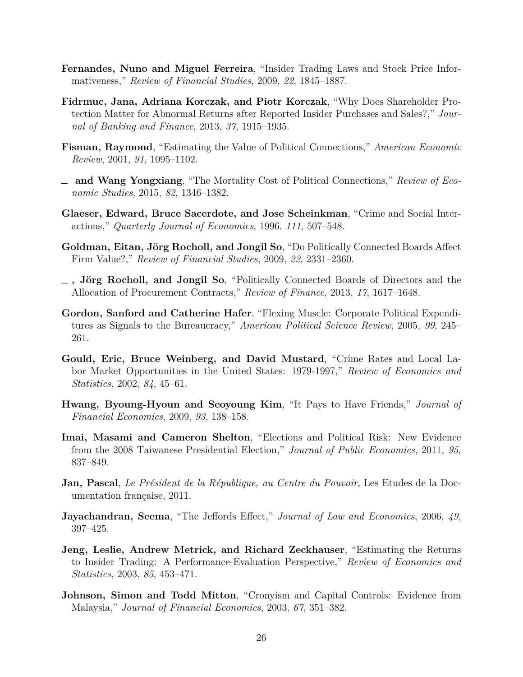- <span id="page-26-0"></span>**Fernandes, Nuno and Miguel Ferreira**, "Insider Trading Laws and Stock Price Informativeness," *Review of Financial Studies*, 2009, *22*, 1845–1887.
- <span id="page-26-14"></span>**Fidrmuc, Jana, Adriana Korczak, and Piotr Korczak**, "Why Does Shareholder Protection Matter for Abnormal Returns after Reported Insider Purchases and Sales?," *Journal of Banking and Finance*, 2013, *37*, 1915–1935.
- <span id="page-26-3"></span>**Fisman, Raymond**, "Estimating the Value of Political Connections," *American Economic Review*, 2001, *91*, 1095–1102.
- <span id="page-26-10"></span>**and Wang Yongxiang**, "The Mortality Cost of Political Connections," *Review of Economic Studies*, 2015, *82*, 1346–1382.
- <span id="page-26-7"></span>**Glaeser, Edward, Bruce Sacerdote, and Jose Scheinkman**, "Crime and Social Interactions," *Quarterly Journal of Economics*, 1996, *111*, 507–548.
- <span id="page-26-1"></span>**Goldman, Eitan, Jörg Rocholl, and Jongil So, "Do Politically Connected Boards Affect** Firm Value?," *Review of Financial Studies*, 2009, *22*, 2331–2360.
- <span id="page-26-9"></span>**, J¨org Rocholl, and Jongil So**, "Politically Connected Boards of Directors and the Allocation of Procurement Contracts," *Review of Finance*, 2013, *17*, 1617–1648.
- <span id="page-26-8"></span>**Gordon, Sanford and Catherine Hafer**, "Flexing Muscle: Corporate Political Expenditures as Signals to the Bureaucracy," *American Political Science Review*, 2005, *99*, 245– 261.
- <span id="page-26-6"></span>**Gould, Eric, Bruce Weinberg, and David Mustard**, "Crime Rates and Local Labor Market Opportunities in the United States: 1979-1997," *Review of Economics and Statistics*, 2002, *84*, 45–61.
- <span id="page-26-11"></span>**Hwang, Byoung-Hyoun and Seoyoung Kim**, "It Pays to Have Friends," *Journal of Financial Economics*, 2009, *93*, 138–158.
- <span id="page-26-2"></span>**Imai, Masami and Cameron Shelton**, "Elections and Political Risk: New Evidence from the 2008 Taiwanese Presidential Election," *Journal of Public Economics*, 2011, *95*, 837–849.
- <span id="page-26-12"></span>**Jan, Pascal**, *Le Président de la République, au Centre du Pouvoir*, Les Etudes de la Documentation française, 2011.
- <span id="page-26-4"></span>**Jayachandran, Seema**, "The Jeffords Effect," *Journal of Law and Economics*, 2006, *49*, 397–425.
- <span id="page-26-5"></span>**Jeng, Leslie, Andrew Metrick, and Richard Zeckhauser**, "Estimating the Returns to Insider Trading: A Performance-Evaluation Perspective," *Review of Economics and Statistics*, 2003, *85*, 453–471.
- <span id="page-26-13"></span>**Johnson, Simon and Todd Mitton**, "Cronyism and Capital Controls: Evidence from Malaysia," *Journal of Financial Economics*, 2003, *67*, 351–382.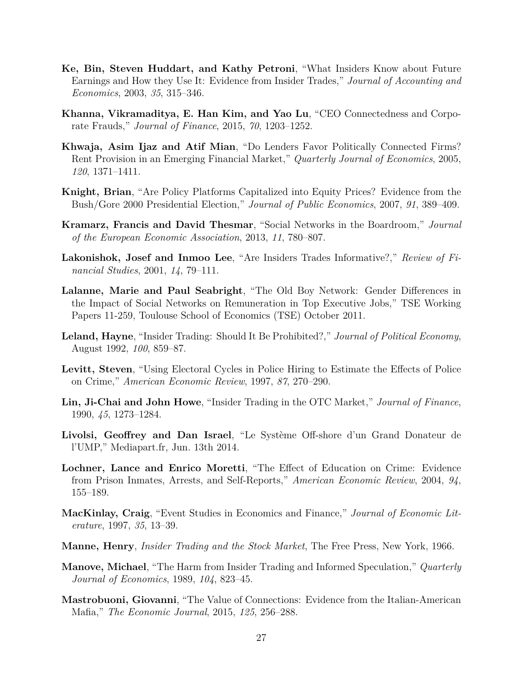- <span id="page-27-5"></span>**Ke, Bin, Steven Huddart, and Kathy Petroni**, "What Insiders Know about Future Earnings and How they Use It: Evidence from Insider Trades," *Journal of Accounting and Economics*, 2003, *35*, 315–346.
- <span id="page-27-12"></span>**Khanna, Vikramaditya, E. Han Kim, and Yao Lu**, "CEO Connectedness and Corporate Frauds," *Journal of Finance*, 2015, *70*, 1203–1252.
- <span id="page-27-10"></span>**Khwaja, Asim Ijaz and Atif Mian**, "Do Lenders Favor Politically Connected Firms? Rent Provision in an Emerging Financial Market," *Quarterly Journal of Economics*, 2005, *120*, 1371–1411.
- <span id="page-27-9"></span>**Knight, Brian**, "Are Policy Platforms Capitalized into Equity Prices? Evidence from the Bush/Gore 2000 Presidential Election," *Journal of Public Economics*, 2007, *91*, 389–409.
- <span id="page-27-3"></span>**Kramarz, Francis and David Thesmar**, "Social Networks in the Boardroom," *Journal of the European Economic Association*, 2013, *11*, 780–807.
- <span id="page-27-4"></span>**Lakonishok, Josef and Inmoo Lee**, "Are Insiders Trades Informative?," *Review of Financial Studies*, 2001, *14*, 79–111.
- <span id="page-27-11"></span>**Lalanne, Marie and Paul Seabright**, "The Old Boy Network: Gender Differences in the Impact of Social Networks on Remuneration in Top Executive Jobs," TSE Working Papers 11-259, Toulouse School of Economics (TSE) October 2011.
- <span id="page-27-2"></span>**Leland, Hayne**, "Insider Trading: Should It Be Prohibited?," *Journal of Political Economy*, August 1992, *100*, 859–87.
- <span id="page-27-8"></span>**Levitt, Steven**, "Using Electoral Cycles in Police Hiring to Estimate the Effects of Police on Crime," *American Economic Review*, 1997, *87*, 270–290.
- <span id="page-27-15"></span>**Lin, Ji-Chai and John Howe**, "Insider Trading in the OTC Market," *Journal of Finance*, 1990, *45*, 1273–1284.
- <span id="page-27-13"></span>**Livolsi, Geoffrey and Dan Israel**, "Le Système Off-shore d'un Grand Donateur de l'UMP," Mediapart.fr, Jun. 13th 2014.
- <span id="page-27-7"></span>**Lochner, Lance and Enrico Moretti**, "The Effect of Education on Crime: Evidence from Prison Inmates, Arrests, and Self-Reports," *American Economic Review*, 2004, *94*, 155–189.
- <span id="page-27-14"></span>**MacKinlay, Craig**, "Event Studies in Economics and Finance," *Journal of Economic Literature*, 1997, *35*, 13–39.
- <span id="page-27-0"></span>**Manne, Henry**, *Insider Trading and the Stock Market*, The Free Press, New York, 1966.
- <span id="page-27-1"></span>**Manove, Michael**, "The Harm from Insider Trading and Informed Speculation," *Quarterly Journal of Economics*, 1989, *104*, 823–45.
- <span id="page-27-6"></span>**Mastrobuoni, Giovanni**, "The Value of Connections: Evidence from the Italian-American Mafia," *The Economic Journal*, 2015, *125*, 256–288.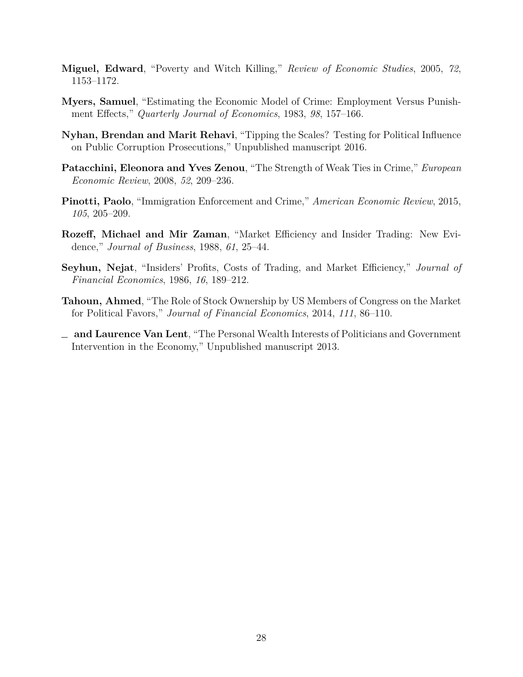- <span id="page-28-2"></span>**Miguel, Edward**, "Poverty and Witch Killing," *Review of Economic Studies*, 2005, *72*, 1153–1172.
- <span id="page-28-3"></span>**Myers, Samuel**, "Estimating the Economic Model of Crime: Employment Versus Punishment Effects," *Quarterly Journal of Economics*, 1983, *98*, 157–166.
- <span id="page-28-7"></span>**Nyhan, Brendan and Marit Rehavi**, "Tipping the Scales? Testing for Political Influence on Public Corruption Prosecutions," Unpublished manuscript 2016.
- <span id="page-28-1"></span>**Patacchini, Eleonora and Yves Zenou**, "The Strength of Weak Ties in Crime," *European Economic Review*, 2008, *52*, 209–236.
- <span id="page-28-4"></span>**Pinotti, Paolo**, "Immigration Enforcement and Crime," *American Economic Review*, 2015, *105*, 205–209.
- <span id="page-28-0"></span>**Rozeff, Michael and Mir Zaman**, "Market Efficiency and Insider Trading: New Evidence," *Journal of Business*, 1988, *61*, 25–44.
- <span id="page-28-8"></span>**Seyhun, Nejat**, "Insiders' Profits, Costs of Trading, and Market Efficiency," *Journal of Financial Economics*, 1986, *16*, 189–212.
- <span id="page-28-6"></span>**Tahoun, Ahmed**, "The Role of Stock Ownership by US Members of Congress on the Market for Political Favors," *Journal of Financial Economics*, 2014, *111*, 86–110.
- <span id="page-28-5"></span>**and Laurence Van Lent**, "The Personal Wealth Interests of Politicians and Government Intervention in the Economy," Unpublished manuscript 2013.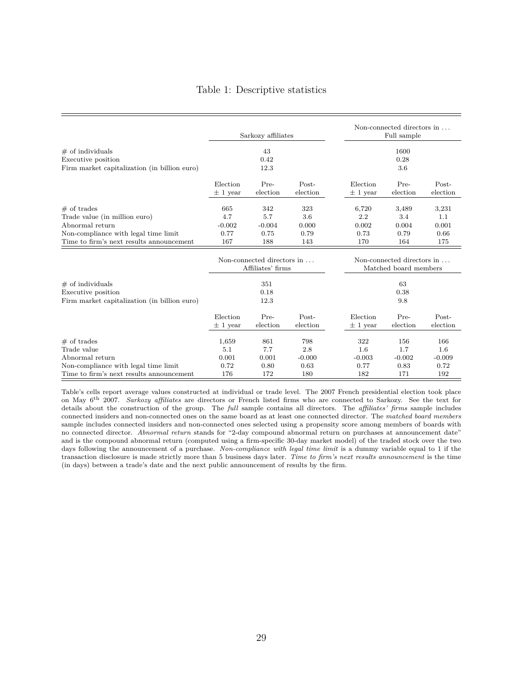#### Table 1: Descriptive statistics

<span id="page-29-0"></span>

|                                                                    |                          | Sarkozy affiliates                              |                   |                          | Non-connected directors in<br>Full sample           |                   |
|--------------------------------------------------------------------|--------------------------|-------------------------------------------------|-------------------|--------------------------|-----------------------------------------------------|-------------------|
| $#$ of individuals                                                 |                          | 43                                              |                   |                          | 1600                                                |                   |
| Executive position<br>Firm market capitalization (in billion euro) |                          | 0.42<br>12.3                                    |                   |                          | 0.28<br>3.6                                         |                   |
|                                                                    | Election<br>$\pm$ 1 year | Pre-<br>election                                | Post-<br>election | Election<br>$\pm$ 1 year | Pre-<br>election                                    | Post-<br>election |
| $#$ of trades                                                      | 665                      | 342                                             | 323               | 6,720                    | 3,489                                               | 3,231             |
| Trade value (in million euro)                                      | 4.7                      | 5.7                                             | 3.6               | 2.2                      | 3.4                                                 | 1.1               |
| Abnormal return                                                    | $-0.002$                 | $-0.004$                                        | 0.000             | 0.002                    | 0.004                                               | 0.001             |
| Non-compliance with legal time limit                               | 0.77                     | 0.75                                            | 0.79              | 0.73                     | 0.79                                                | 0.66              |
| Time to firm's next results announcement                           | 167                      | 188                                             | 143               | 170                      | 164                                                 | 175               |
|                                                                    |                          | Non-connected directors in<br>Affiliates' firms |                   |                          | Non-connected directors in<br>Matched board members |                   |
| $#$ of individuals                                                 |                          | 351                                             |                   |                          | 63                                                  |                   |
| Executive position                                                 |                          | 0.18                                            |                   |                          | 0.38                                                |                   |
| Firm market capitalization (in billion euro)                       |                          | 12.3                                            |                   |                          | 9.8                                                 |                   |
|                                                                    | Election                 | Pre-                                            | Post-             | Election                 | Pre-                                                | Post-             |
|                                                                    | $\pm$ 1 year             | election                                        | election          | $\pm$ 1 year             | election                                            | election          |
| $#$ of trades                                                      | 1,659                    | 861                                             | 798               | 322                      | 156                                                 | 166               |
| Trade value                                                        | 5.1                      | 7.7                                             | 2.8               | 1.6                      | 1.7                                                 | $1.6\,$           |
| Abnormal return                                                    | 0.001                    | 0.001                                           | $-0.000$          | $-0.003$                 | $-0.002$                                            | $-0.009$          |
| Non-compliance with legal time limit                               | 0.72                     | 0.80                                            | 0.63              | 0.77                     | 0.83                                                | 0.72              |
| Time to firm's next results announcement                           | 176                      | 172                                             | 180               | 182                      | 171                                                 | 192               |

Table's cells report average values constructed at individual or trade level. The 2007 French presidential election took place on May 6th 2007. *Sarkozy affiliates* are directors or French listed firms who are connected to Sarkozy. See the text for details about the construction of the group. The *full* sample contains all directors. The *affiliates' firms* sample includes connected insiders and non-connected ones on the same board as at least one connected director. The *matched board members* sample includes connected insiders and non-connected ones selected using a propensity score among members of boards with no connected director. *Abnormal return* stands for "2-day compound abnormal return on purchases at announcement date" and is the compound abnormal return (computed using a firm-specific 30-day market model) of the traded stock over the two days following the announcement of a purchase. *Non-compliance with legal time limit* is a dummy variable equal to 1 if the transaction disclosure is made strictly more than 5 business days later. *Time to firm's next results announcement* is the time (in days) between a trade's date and the next public announcement of results by the firm.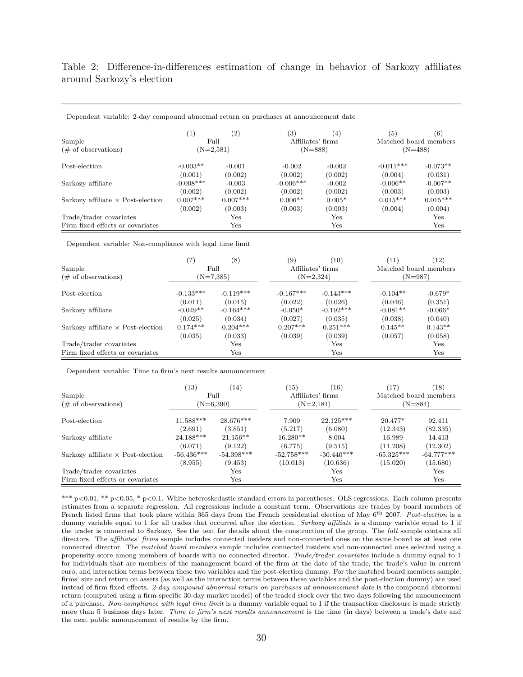<span id="page-30-0"></span>Table 2: Difference-in-differences estimation of change in behavior of Sarkozy affiliates around Sarkozy's election

|                                          | $\left(1\right)$ | (2)          | (3)               | (4)          | (5)         | (6)                   |
|------------------------------------------|------------------|--------------|-------------------|--------------|-------------|-----------------------|
| Sample                                   |                  | Full         | Affiliates' firms |              |             | Matched board members |
| $(\# \text{ of observations})$           |                  | $(N=2,581)$  | $(N=888)$         |              |             | $(N=488)$             |
| Post-election                            | $-0.003**$       | $-0.001$     | $-0.002$          | $-0.002$     | $-0.011***$ | $-0.073**$            |
|                                          | (0.001)          | (0.002)      | (0.002)           | (0.002)      | (0.004)     | (0.031)               |
| Sarkozy affiliate                        | $-0.008***$      | $-0.003$     | $-0.006$ ***      | $-0.002$     | $-0.006**$  | $-0.007**$            |
|                                          | (0.002)          | (0.002)      | (0.002)           | (0.002)      | (0.003)     | (0.003)               |
| Sarkozy affiliate $\times$ Post-election | $0.007***$       | $0.007***$   | $0.006**$         | $0.005*$     | $0.015***$  | $0.015***$            |
|                                          | (0.002)          | (0.003)      | (0.003)           | (0.003)      | (0.004)     | (0.004)               |
| Trade/trader covariates                  |                  | $_{\rm Yes}$ |                   | $_{\rm Yes}$ |             | $_{\rm Yes}$          |
| Firm fixed effects or covariates         |                  | $_{\rm Yes}$ |                   | $_{\rm Yes}$ |             | $_{\rm Yes}$          |

Dependent variable: 2-day compound abnormal return on purchases at announcement date

Dependent variable: Non-compliance with legal time limit

|                                          | (7)         | (8)          | (9)         | (10)              | (11)       | (12)                  |
|------------------------------------------|-------------|--------------|-------------|-------------------|------------|-----------------------|
| Sample                                   |             | Full         |             | Affiliates' firms |            | Matched board members |
| $(\# \text{ of observations})$           |             | $(N=7,385)$  |             | $(N=2,324)$       |            | (N=987)               |
| Post-election                            | $-0.133***$ | $-0.119***$  | $-0.167***$ | $-0.143***$       | $-0.104**$ | $-0.679*$             |
|                                          | (0.011)     | (0.015)      | (0.022)     | (0.026)           | (0.046)    | (0.351)               |
| Sarkozy affiliate                        | $-0.049**$  | $-0.164***$  | $-0.050*$   | $-0.192***$       | $-0.081**$ | $-0.066*$             |
|                                          | (0.025)     | (0.034)      | (0.027)     | (0.035)           | (0.038)    | (0.040)               |
| Sarkozy affiliate $\times$ Post-election | $0.174***$  | $0.204***$   | $0.207***$  | $0.251***$        | $0.145**$  | $0.143**$             |
|                                          | (0.035)     | (0.033)      | (0.039)     | (0.039)           | (0.057)    | (0.058)               |
| Trade/trader covariates                  |             | $_{\rm Yes}$ |             | Yes               |            | $_{\rm Yes}$          |
| Firm fixed effects or covariates         |             | $_{\rm Yes}$ |             | $_{\rm Yes}$      |            | $_{\rm Yes}$          |

Dependent variable: Time to firm's next results announcement

| Sample<br>$(\# \text{ of observations})$ | (13)         | (14)<br>Full<br>$(N=6,390)$ | (15)         | (16)<br>Affiliates' firms<br>$(N=2,181)$ | (17)         | (18)<br>Matched board members<br>$(N=884)$ |
|------------------------------------------|--------------|-----------------------------|--------------|------------------------------------------|--------------|--------------------------------------------|
| Post-election                            | $11.588***$  | $28.676***$                 | 7.909        | $22.125***$                              | $20.477*$    | 92.411                                     |
|                                          | (2.691)      | (3.851)                     | (5.217)      | (6.080)                                  | (12.343)     | (82.335)                                   |
| Sarkozy affiliate                        | 24.188***    | $21.156**$                  | $16.280**$   | 8.004                                    | 16.989       | 14.413                                     |
|                                          | (6.071)      | (9.122)                     | (6.775)      | (9.515)                                  | (11.208)     | (12.302)                                   |
| Sarkozy affiliate $\times$ Post-election | $-56.436***$ | $-54.398***$                | $-52.758***$ | $-30.440***$                             | $-65.325***$ | $-64.777***$                               |
|                                          | (8.955)      | (9.453)                     | (10.013)     | (10.636)                                 | (15.020)     | (15.680)                                   |
| Trade/trader covariates                  |              | Yes                         |              | Yes                                      |              | Yes                                        |
| Firm fixed effects or covariates         |              | $_{\rm Yes}$                |              | $\operatorname{Yes}$                     |              | Yes                                        |

\*\*\* p*<*0.01, \*\* p*<*0.05, \* p*<*0.1. White heteroskedastic standard errors in parentheses. OLS regressions. Each column presents estimates from a separate regression. All regressions include a constant term. Observations are trades by board members of French listed firms that took place within 365 days from the French presidential election of May 6th 2007. *Post-election* is a dummy variable equal to 1 for all trades that occurred after the election. *Sarkozy affiliate* is a dummy variable equal to 1 if the trader is connected to Sarkozy. See the text for details about the construction of the group. The *full* sample contains all directors. The *affiliates' firms* sample includes connected insiders and non-connected ones on the same board as at least one connected director. The *matched board members* sample includes connected insiders and non-connected ones selected using a propensity score among members of boards with no connected director. *Trade/trader covariates* include a dummy equal to 1 for individuals that are members of the management board of the firm at the date of the trade, the trade's value in current euro, and interaction terms between these two variables and the post-election dummy. For the matched board members sample, firms' size and return on assets (as well as the interaction terms between these variables and the post-election dummy) are used instead of firm fixed effects. *2-day compound abnormal return on purchases at announcement date* is the compound abnormal return (computed using a firm-specific 30-day market model) of the traded stock over the two days following the announcement of a purchase. *Non-compliance with legal time limit* is a dummy variable equal to 1 if the transaction disclosure is made strictly more than 5 business days later. *Time to firm's next results announcement* is the time (in days) between a trade's date and the next public announcement of results by the firm.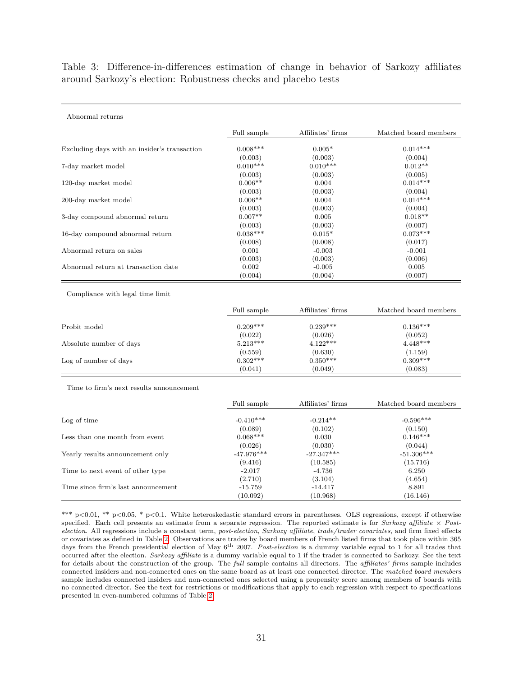<span id="page-31-0"></span>Table 3: Difference-in-differences estimation of change in behavior of Sarkozy affiliates around Sarkozy's election: Robustness checks and placebo tests

|                                              | Full sample | Affiliates' firms | Matched board members |
|----------------------------------------------|-------------|-------------------|-----------------------|
| Excluding days with an insider's transaction | $0.008***$  | $0.005*$          | $0.014***$            |
|                                              | (0.003)     | (0.003)           | (0.004)               |
| 7-day market model                           | $0.010***$  | $0.010***$        | $0.012**$             |
|                                              | (0.003)     | (0.003)           | (0.005)               |
| 120-day market model                         | $0.006**$   | 0.004             | $0.014***$            |
|                                              | (0.003)     | (0.003)           | (0.004)               |
| 200-day market model                         | $0.006**$   | 0.004             | $0.014***$            |
|                                              | (0.003)     | (0.003)           | (0.004)               |
| 3-day compound abnormal return               | $0.007**$   | 0.005             | $0.018**$             |
|                                              | (0.003)     | (0.003)           | (0.007)               |
| 16-day compound abnormal return              | $0.038***$  | $0.015*$          | $0.073***$            |
|                                              | (0.008)     | (0.008)           | (0.017)               |
| Abnormal return on sales                     | 0.001       | $-0.003$          | $-0.001$              |
|                                              | (0.003)     | (0.003)           | (0.006)               |
| Abnormal return at transaction date          | 0.002       | $-0.005$          | 0.005                 |
|                                              | (0.004)     | (0.004)           | (0.007)               |

Compliance with legal time limit

Abnormal returns

|                         | Full sample | Affiliates' firms | Matched board members |
|-------------------------|-------------|-------------------|-----------------------|
| Probit model            | $0.209***$  | $0.239***$        | $0.136***$            |
|                         | (0.022)     | (0.026)           | (0.052)               |
| Absolute number of days | $5.213***$  | $4.122***$        | $4.448***$            |
|                         | (0.559)     | (0.630)           | (1.159)               |
| Log of number of days   | $0.302***$  | $0.350***$        | $0.309***$            |
|                         | (0.041)     | (0.049)           | (0.083)               |

Time to firm's next results announcement

|                                     | Full sample  | Affiliates' firms | Matched board members |
|-------------------------------------|--------------|-------------------|-----------------------|
| Log of time                         | $-0.410***$  | $-0.214**$        | $-0.596***$           |
|                                     | (0.089)      | (0.102)           | (0.150)               |
| Less than one month from event      | $0.068***$   | 0.030             | $0.146***$            |
|                                     | (0.026)      | (0.030)           | (0.044)               |
| Yearly results announcement only    | $-47.976***$ | $-27.347***$      | $-51.306***$          |
|                                     | (9.416)      | (10.585)          | (15.716)              |
| Time to next event of other type    | $-2.017$     | -4.736            | 6.250                 |
|                                     | (2.710)      | (3.104)           | (4.654)               |
| Time since firm's last announcement | $-15.759$    | $-14.417$         | 8.891                 |
|                                     | (10.092)     | (10.968)          | (16.146)              |

\*\*\* p<0.01, \*\* p<0.05, \* p<0.1. White heteroskedastic standard errors in parentheses. OLS regressions, except if otherwise specified. Each cell presents an estimate from a separate regression. The reported estimate is for *Sarkozy affiliate* × *Postelection*. All regressions include a constant term, *post-election*, *Sarkozy affiliate*, *trade/trader covariates*, and firm fixed effects or covariates as defined in Table [2.](#page-30-0) Observations are trades by board members of French listed firms that took place within 365 days from the French presidential election of May 6th 2007. *Post-election* is a dummy variable equal to 1 for all trades that occurred after the election. *Sarkozy affiliate* is a dummy variable equal to 1 if the trader is connected to Sarkozy. See the text for details about the construction of the group. The *full* sample contains all directors. The *affiliates' firms* sample includes connected insiders and non-connected ones on the same board as at least one connected director. The *matched board members* sample includes connected insiders and non-connected ones selected using a propensity score among members of boards with no connected director. See the text for restrictions or modifications that apply to each regression with respect to specifications presented in even-numbered columns of Table [2.](#page-30-0)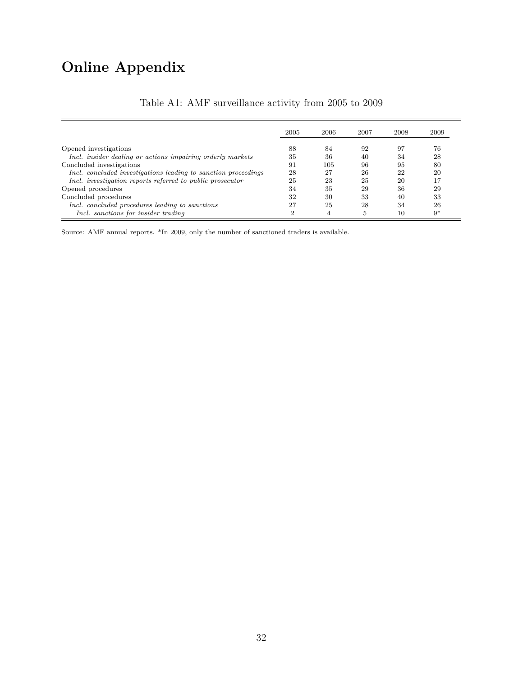# **Online Appendix**

<span id="page-32-0"></span>

|                                                                | 2005 | 2006 | 2007 | 2008 | 2009 |
|----------------------------------------------------------------|------|------|------|------|------|
| Opened investigations                                          | 88   | 84   | 92   | 97   | 76   |
| Incl. insider dealing or actions impairing orderly markets     | 35   | 36   | 40   | 34   | 28   |
| Concluded investigations                                       | 91   | 105  | 96   | 95   | 80   |
| Incl. concluded investigations leading to sanction proceedings | 28   | 27   | 26   | 22   | 20   |
| Incl. investigation reports referred to public prosecutor      | 25   | 23   | 25   | 20   | 17   |
| Opened procedures                                              | 34   | 35   | 29   | 36   | 29   |
| Concluded procedures                                           | 32   | 30   | 33   | 40   | 33   |
| Incl. concluded procedures leading to sanctions                | 27   | 25   | 28   | 34   | 26   |
| Incl. sanctions for insider trading                            | ച    |      | .5   | 10   | $9*$ |

#### Table A1: AMF surveillance activity from 2005 to 2009

Source: AMF annual reports. \*In 2009, only the number of sanctioned traders is available.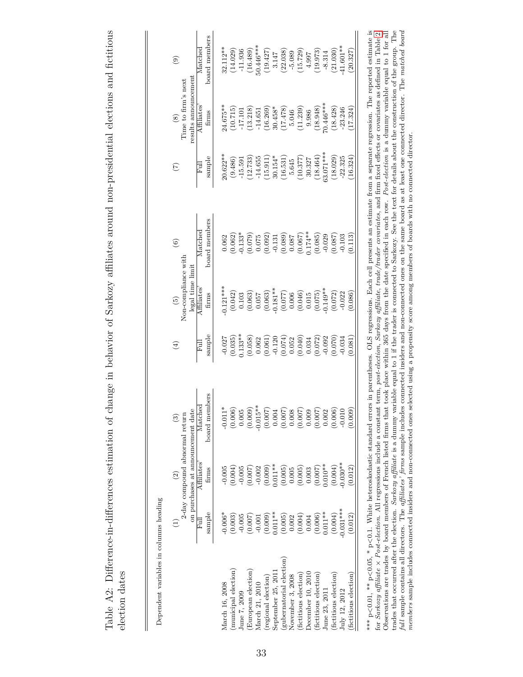<span id="page-33-0"></span>

| i                               |
|---------------------------------|
| <b>P.O. Line Street Proper</b>  |
| ŗ                               |
| ool ol smar                     |
| $\sim$ $\sim$ $\sim$ $\sim$ $+$ |

 $\parallel$ 

|                         |                                                 | $\widehat{c}$                                                       | $\odot$       | E)                                                                                                                                                                                                                                                                                                                    | $\binom{5}{2}$                                                                                                                                                                                                                                                                             | $\widehat{\circ}$                                                                                                                                                                                                                                                                                          | É                                                                          | $\circledast$                                                               | ೯                                                                                                    |
|-------------------------|-------------------------------------------------|---------------------------------------------------------------------|---------------|-----------------------------------------------------------------------------------------------------------------------------------------------------------------------------------------------------------------------------------------------------------------------------------------------------------------------|--------------------------------------------------------------------------------------------------------------------------------------------------------------------------------------------------------------------------------------------------------------------------------------------|------------------------------------------------------------------------------------------------------------------------------------------------------------------------------------------------------------------------------------------------------------------------------------------------------------|----------------------------------------------------------------------------|-----------------------------------------------------------------------------|------------------------------------------------------------------------------------------------------|
|                         |                                                 | on purchases at announcement date<br>2-day compound abnormal return |               |                                                                                                                                                                                                                                                                                                                       | Non-compliance with<br>legal time limit                                                                                                                                                                                                                                                    |                                                                                                                                                                                                                                                                                                            |                                                                            | results announcement<br>Time to firm's next                                 |                                                                                                      |
|                         | 日日                                              | Affiliates                                                          | $\rm Matched$ | 同                                                                                                                                                                                                                                                                                                                     | Affiliates                                                                                                                                                                                                                                                                                 | Matched                                                                                                                                                                                                                                                                                                    | 同                                                                          | Affiliates                                                                  | Matched                                                                                              |
|                         | sample                                          | firms                                                               | board members | sample                                                                                                                                                                                                                                                                                                                | firms                                                                                                                                                                                                                                                                                      | board members                                                                                                                                                                                                                                                                                              | sample                                                                     | $\operatorname{firms}$                                                      | board members                                                                                        |
| Aarch 16, 2008          | $0.006*$                                        | $-0.005$                                                            | $-0.011*$     | 0.027                                                                                                                                                                                                                                                                                                                 | $0.121***$                                                                                                                                                                                                                                                                                 | 0.062                                                                                                                                                                                                                                                                                                      | $20.622**$                                                                 | $4.675**$                                                                   | $32.112**$                                                                                           |
| municipal election)     | (0.003)                                         | 0.004)                                                              | (0.006)       | $(0.035)$<br>$0.133***$                                                                                                                                                                                                                                                                                               |                                                                                                                                                                                                                                                                                            |                                                                                                                                                                                                                                                                                                            |                                                                            |                                                                             |                                                                                                      |
| une 7, 2009             | $-0.005$                                        | $-0.005$                                                            | 0.005         |                                                                                                                                                                                                                                                                                                                       |                                                                                                                                                                                                                                                                                            |                                                                                                                                                                                                                                                                                                            | $(9.486)$<br>-15.591                                                       | (10.715)                                                                    |                                                                                                      |
| European election       | (200.0)                                         |                                                                     | (0.009)       | $\begin{array}{c} (0.058) \\ 0.062 \\ (0.061) \\ (0.011) \\ (0.120) \\ (0.074) \\ (0.040) \\ (0.072) \\ (0.072) \\ (0.072) \\ (0.072) \\ (0.073) \\ (0.070) \\ (0.070) \\ (0.070) \\ (0.070) \\ (0.070) \\ (0.070) \\ (0.071) \\ (0.072) \\ (0.073) \\ (0.074) \\ (0.070) \\ (0.070) \\ (0.071) \\ (0.072) \\ (0.073$ | $\begin{array}{l} (0.042)\\ 0.103\\ 0.063)\\ (0.067)\\ (0.067)\\ (0.067)\\ (0.077)\\ (0.077)\\ (0.077)\\ (0.046)\\ (0.015)\\ (0.075)\\ (0.076)\\ (0.077)\\ (0.078)\\ (0.079)\\ (0.079)\\ (0.070)\\ (0.070)\\ (0.070)\\ (0.070)\\ (0.070)\\ (0.070)\\ (0.070)\\ (0.070)\\ (0.070)\\ (0.070$ | $\begin{smallmatrix} (0.062)\\[-4pt] -0.133^{*}\!\!\!\!\!&\\ (0.075)\\[-4pt] 0.079\\[-4pt] 0.002\\[-4pt] 0.003\\[-4pt] 0.003\\[-4pt] 0.008\\[-4pt] 0.008\\[-4pt] 0.008\\[-4pt] 0.008\\[-4pt] 0.008\\[-4pt] 0.008\\[-4pt] 0.008\\[-4pt] 0.008\\[-4pt] 0.008\\[-4pt] 0.008\\[-4pt] 0.008\\[-4pt] 0.008\\[-4$ | (12.733)                                                                   | (13.218)                                                                    | $(14.029)$<br>-11.936<br>$(16.489)$<br>$(16.46**$                                                    |
| Aarch 21, 2010          | $-0.001$                                        | (0.007)                                                             | $0.015*$      |                                                                                                                                                                                                                                                                                                                       |                                                                                                                                                                                                                                                                                            |                                                                                                                                                                                                                                                                                                            | $-14.655$                                                                  | $-14.651$                                                                   |                                                                                                      |
| regional election)      | (0.009)                                         | $(0.009)$<br>$0.011**$                                              | (0.007)       |                                                                                                                                                                                                                                                                                                                       |                                                                                                                                                                                                                                                                                            |                                                                                                                                                                                                                                                                                                            |                                                                            |                                                                             |                                                                                                      |
| September 25, 201       | $0.011**$                                       |                                                                     | 0.004         |                                                                                                                                                                                                                                                                                                                       |                                                                                                                                                                                                                                                                                            |                                                                                                                                                                                                                                                                                                            |                                                                            |                                                                             |                                                                                                      |
| gubernatorial election) | $\begin{array}{c} (0.005) \\ 0.002 \end{array}$ | $\begin{array}{c} (0.005) \\ 0.005 \end{array}$                     | (0.007)       |                                                                                                                                                                                                                                                                                                                       |                                                                                                                                                                                                                                                                                            |                                                                                                                                                                                                                                                                                                            | $\begin{array}{c} (15.911) \\ 30.154^{*} \\ (16.531) \\ 5.645 \end{array}$ | $\begin{array}{c} (16.269) \\ 30.458^* \\ (17.478) \\ 5.046 \\ \end{array}$ | $\begin{array}{l} (19.427)\\ 3.147\\ (22.038)\\ -5.089\\ (15.729)\\ (19.972)\\ (19.973) \end{array}$ |
| November 3, 2008        |                                                 |                                                                     | 0.008         |                                                                                                                                                                                                                                                                                                                       |                                                                                                                                                                                                                                                                                            |                                                                                                                                                                                                                                                                                                            |                                                                            |                                                                             |                                                                                                      |
| fictitious election     | $(0.004)$<br>0.004                              | (0.005)                                                             | (0.007)       |                                                                                                                                                                                                                                                                                                                       |                                                                                                                                                                                                                                                                                            |                                                                                                                                                                                                                                                                                                            | $(10.377)$ $30.327$                                                        |                                                                             |                                                                                                      |
| December 10, 2010       |                                                 | 0.003                                                               | 0.009         |                                                                                                                                                                                                                                                                                                                       |                                                                                                                                                                                                                                                                                            |                                                                                                                                                                                                                                                                                                            |                                                                            | 9.986                                                                       |                                                                                                      |
| fictitious election     | (0.006)                                         | (0.007)                                                             | (0.007)       |                                                                                                                                                                                                                                                                                                                       |                                                                                                                                                                                                                                                                                            |                                                                                                                                                                                                                                                                                                            |                                                                            |                                                                             |                                                                                                      |
| June 23, 2011           | $0.011***$                                      | $0.010**$                                                           | 0.002         |                                                                                                                                                                                                                                                                                                                       |                                                                                                                                                                                                                                                                                            |                                                                                                                                                                                                                                                                                                            | $(18.464)$<br>$53.071***$                                                  | $(18.948)$<br>0.446***                                                      |                                                                                                      |
| fictitious election     | (0.004)                                         | (0.004)                                                             | (0.006)       |                                                                                                                                                                                                                                                                                                                       | (0.072)                                                                                                                                                                                                                                                                                    |                                                                                                                                                                                                                                                                                                            | $(18.029)$<br>-22.325                                                      | (18.428)                                                                    | (21.030)                                                                                             |
| July 12, 2012           | $0.031***$                                      | $0.030***$                                                          | $-0.010$      |                                                                                                                                                                                                                                                                                                                       | $-0.022$                                                                                                                                                                                                                                                                                   | $\begin{array}{c} 0.087 \\ -0.103 \end{array}$                                                                                                                                                                                                                                                             |                                                                            | $-23.246$                                                                   | $1.601**$                                                                                            |
| fictitious election     | (0.012)                                         | (0.012)                                                             | (600.0)       | 0.081                                                                                                                                                                                                                                                                                                                 | 0.086                                                                                                                                                                                                                                                                                      | 0.113                                                                                                                                                                                                                                                                                                      | 16.324                                                                     | 17.324                                                                      | 20.327                                                                                               |

full sample contains all directors. The affiliates' firms sample includes connected insiders and non-connected ones on the same board as at least one connected director. The matched board *<*0.1. White heteroskedastic standard errors in parentheses. OLS regressions. Each cell presents an estimate from a separate regression. The reported estimate is for Sarkozy afflüate  $\times$  Post-election. All regressions include a constant term, post-election, Sarkozy afflüate, trade/trader covariates, and firm fixed effects or covariates as defined in Table [2.](#page-30-0) Observations are trades by board members of French listed firms that took place within 365 days from the date specified in each row. *Post-election* is a dummy variable equal to 1 for all trades that occurred after the election. *Sarkozy affiliate* is a dummy variable equal to 1 if the trader is connected to Sarkozy. See the text for details about the construction of the group. The full sample contains all directors. The affiliates' firms sample includes connected insiders and non-connected ones on the same board as at least one connected director. The matched board members sample includes connected insiders and non-connected ones selected using a propensity score among members of boards with no connected director. *members* sample includes connected insiders and non-connected ones selected using a propensity score among members of boards with no connected director. *<*0.05, \* p *<*0.01, \*\* p نم<br>\* \* \*<br>\* \* \*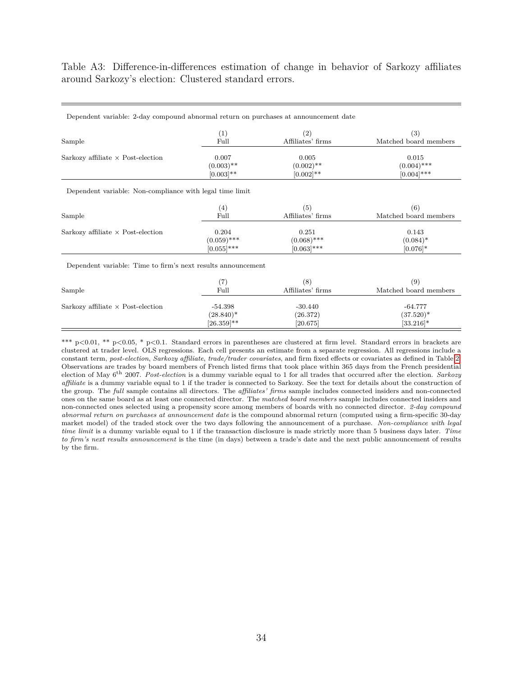<span id="page-34-0"></span>Table A3: Difference-in-differences estimation of change in behavior of Sarkozy affiliates around Sarkozy's election: Clustered standard errors.

| Dependent variable: 2-day compound abnormal return on purchases at announcement date |                 |                   |                        |
|--------------------------------------------------------------------------------------|-----------------|-------------------|------------------------|
| Sample                                                                               | (1)             | (2)               | (3)                    |
|                                                                                      | Full            | Affiliates' firms | Matched board members  |
| Sarkozy affiliate $\times$ Post-election                                             | 0.007           | 0.005             | 0.015                  |
|                                                                                      | $(0.003)$ **    | $(0.002)$ **      | $(0.004)$ ***          |
|                                                                                      | $[0.003]$ **    | $[0.002]$ **      | $[0.004]$ ***          |
| Dependent variable: Non-compliance with legal time limit                             |                 |                   |                        |
| Sample                                                                               | (4)             | (5)               | (6)                    |
|                                                                                      | Full            | Affiliates' firms | Matched board members  |
| Sarkozy affiliate $\times$ Post-election                                             | 0.204           | 0.251             | 0.143                  |
|                                                                                      | $(0.059)$ ***   | $(0.068)$ ***     | $(0.084)$ <sup>*</sup> |
|                                                                                      | $[0.055]$ ***   | $[0.063]$ ***     | $[0.076]$ *            |
| Dependent variable: Time to firm's next results announcement                         |                 |                   |                        |
| Sample                                                                               | (7)             | (8)               | (9)                    |
|                                                                                      | Full            | Affiliates' firms | Matched board members  |
| Sarkozy affiliate $\times$ Post-election                                             | $-54.398$       | $-30.440$         | $-64.777$              |
|                                                                                      | $(28.840)^*$    | (26.372)          | $(37.520)^*$           |
|                                                                                      | $[26.359]^{**}$ | [20.675]          | $[33.216]$ *           |

\*\*\* p*<*0.01, \*\* p*<*0.05, \* p*<*0.1. Standard errors in parentheses are clustered at firm level. Standard errors in brackets are clustered at trader level. OLS regressions. Each cell presents an estimate from a separate regression. All regressions include a constant term, *post-election*, *Sarkozy affiliate*, *trade/trader covariates*, and firm fixed effects or covariates as defined in Table [2.](#page-30-0) Observations are trades by board members of French listed firms that took place within 365 days from the French presidential election of May 6th 2007. *Post-election* is a dummy variable equal to 1 for all trades that occurred after the election. *Sarkozy affiliate* is a dummy variable equal to 1 if the trader is connected to Sarkozy. See the text for details about the construction of the group. The *full* sample contains all directors. The *affiliates' firms* sample includes connected insiders and non-connected ones on the same board as at least one connected director. The *matched board members* sample includes connected insiders and non-connected ones selected using a propensity score among members of boards with no connected director. *2-day compound abnormal return on purchases at announcement date* is the compound abnormal return (computed using a firm-specific 30-day market model) of the traded stock over the two days following the announcement of a purchase. *Non-compliance with legal time limit* is a dummy variable equal to 1 if the transaction disclosure is made strictly more than 5 business days later. *Time to firm's next results announcement* is the time (in days) between a trade's date and the next public announcement of results by the firm.